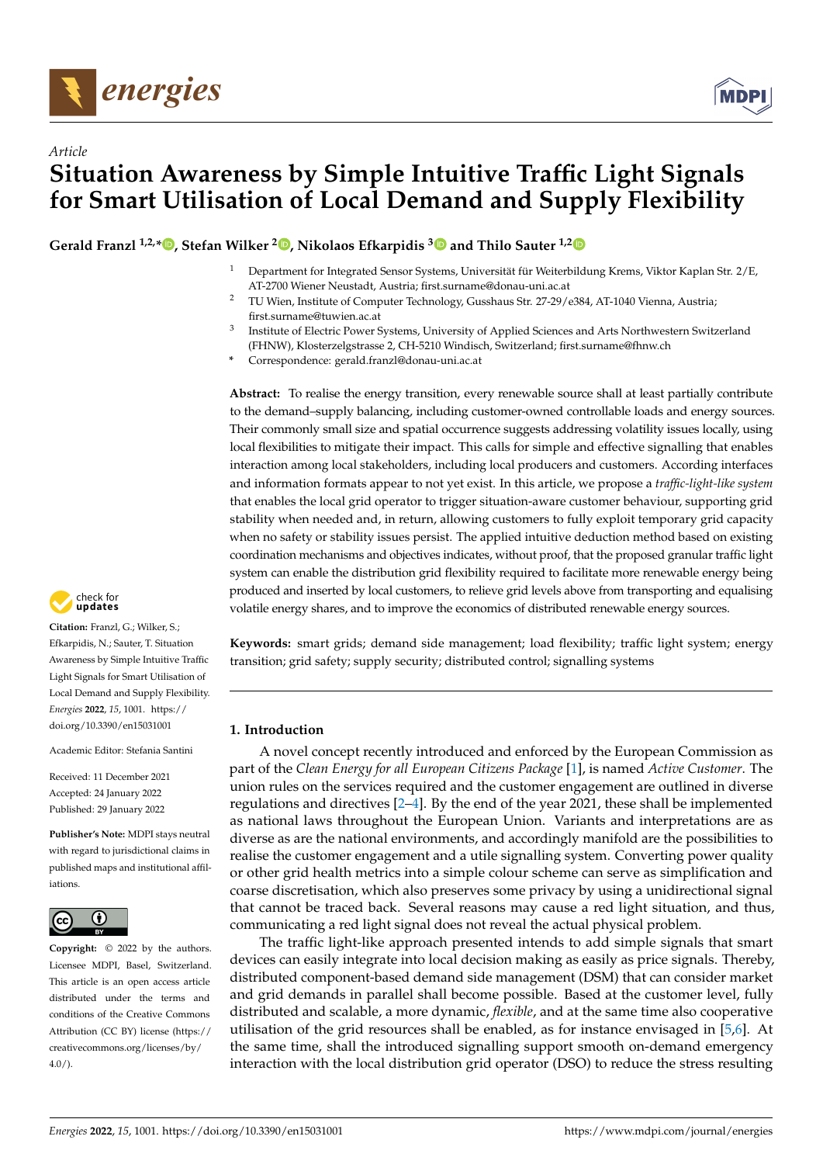



# *Article* **Situation Awareness by Simple Intuitive Traffic Light Signals for Smart Utilisation of Local Demand and Supply Flexibility**

**Gerald Franzl 1,2,[\\*](https://orcid.org/0000-0003-0260-9912) , Stefan Wilker <sup>2</sup> [,](https://orcid.org/0000-0002-9873-0751) Nikolaos Efkarpidis [3](https://orcid.org/0000-0001-8487-6824) and Thilo Sauter 1,[2](https://orcid.org/0000-0003-1559-8394)**

- <sup>1</sup> Department for Integrated Sensor Systems, Universität für Weiterbildung Krems, Viktor Kaplan Str. 2/E, AT-2700 Wiener Neustadt, Austria; first.surname@donau-uni.ac.at
- <sup>2</sup> TU Wien, Institute of Computer Technology, Gusshaus Str. 27-29/e384, AT-1040 Vienna, Austria; first.surname@tuwien.ac.at
- 3 Institute of Electric Power Systems, University of Applied Sciences and Arts Northwestern Switzerland (FHNW), Klosterzelgstrasse 2, CH-5210 Windisch, Switzerland; first.surname@fhnw.ch
- **\*** Correspondence: gerald.franzl@donau-uni.ac.at

**Abstract:** To realise the energy transition, every renewable source shall at least partially contribute to the demand–supply balancing, including customer-owned controllable loads and energy sources. Their commonly small size and spatial occurrence suggests addressing volatility issues locally, using local flexibilities to mitigate their impact. This calls for simple and effective signalling that enables interaction among local stakeholders, including local producers and customers. According interfaces and information formats appear to not yet exist. In this article, we propose a *traffic-light-like system* that enables the local grid operator to trigger situation-aware customer behaviour, supporting grid stability when needed and, in return, allowing customers to fully exploit temporary grid capacity when no safety or stability issues persist. The applied intuitive deduction method based on existing coordination mechanisms and objectives indicates, without proof, that the proposed granular traffic light system can enable the distribution grid flexibility required to facilitate more renewable energy being produced and inserted by local customers, to relieve grid levels above from transporting and equalising volatile energy shares, and to improve the economics of distributed renewable energy sources.



**Citation:** Franzl, G.; Wilker, S.; Efkarpidis, N.; Sauter, T. Situation Awareness by Simple Intuitive Traffic Light Signals for Smart Utilisation of Local Demand and Supply Flexibility. *Energies* **2022**, *15*, 1001. [https://](https://doi.org/10.3390/en15031001) [doi.org/10.3390/en15031001](https://doi.org/10.3390/en15031001)

Academic Editor: Stefania Santini

Received: 11 December 2021 Accepted: 24 January 2022 Published: 29 January 2022

**Publisher's Note:** MDPI stays neutral with regard to jurisdictional claims in published maps and institutional affiliations.



**Copyright:** © 2022 by the authors. Licensee MDPI, Basel, Switzerland. This article is an open access article distributed under the terms and conditions of the Creative Commons Attribution (CC BY) license [\(https://](https://creativecommons.org/licenses/by/4.0/) [creativecommons.org/licenses/by/](https://creativecommons.org/licenses/by/4.0/)  $4.0/$ ).

**Keywords:** smart grids; demand side management; load flexibility; traffic light system; energy transition; grid safety; supply security; distributed control; signalling systems

# **1. Introduction**

A novel concept recently introduced and enforced by the European Commission as part of the *Clean Energy for all European Citizens Package* [\[1\]](#page-19-0), is named *Active Customer*. The union rules on the services required and the customer engagement are outlined in diverse regulations and directives [\[2](#page-19-1)[–4\]](#page-19-2). By the end of the year 2021, these shall be implemented as national laws throughout the European Union. Variants and interpretations are as diverse as are the national environments, and accordingly manifold are the possibilities to realise the customer engagement and a utile signalling system. Converting power quality or other grid health metrics into a simple colour scheme can serve as simplification and coarse discretisation, which also preserves some privacy by using a unidirectional signal that cannot be traced back. Several reasons may cause a red light situation, and thus, communicating a red light signal does not reveal the actual physical problem.

The traffic light-like approach presented intends to add simple signals that smart devices can easily integrate into local decision making as easily as price signals. Thereby, distributed component-based demand side management (DSM) that can consider market and grid demands in parallel shall become possible. Based at the customer level, fully distributed and scalable, a more dynamic, *flexible*, and at the same time also cooperative utilisation of the grid resources shall be enabled, as for instance envisaged in [\[5](#page-19-3)[,6\]](#page-19-4). At the same time, shall the introduced signalling support smooth on-demand emergency interaction with the local distribution grid operator (DSO) to reduce the stress resulting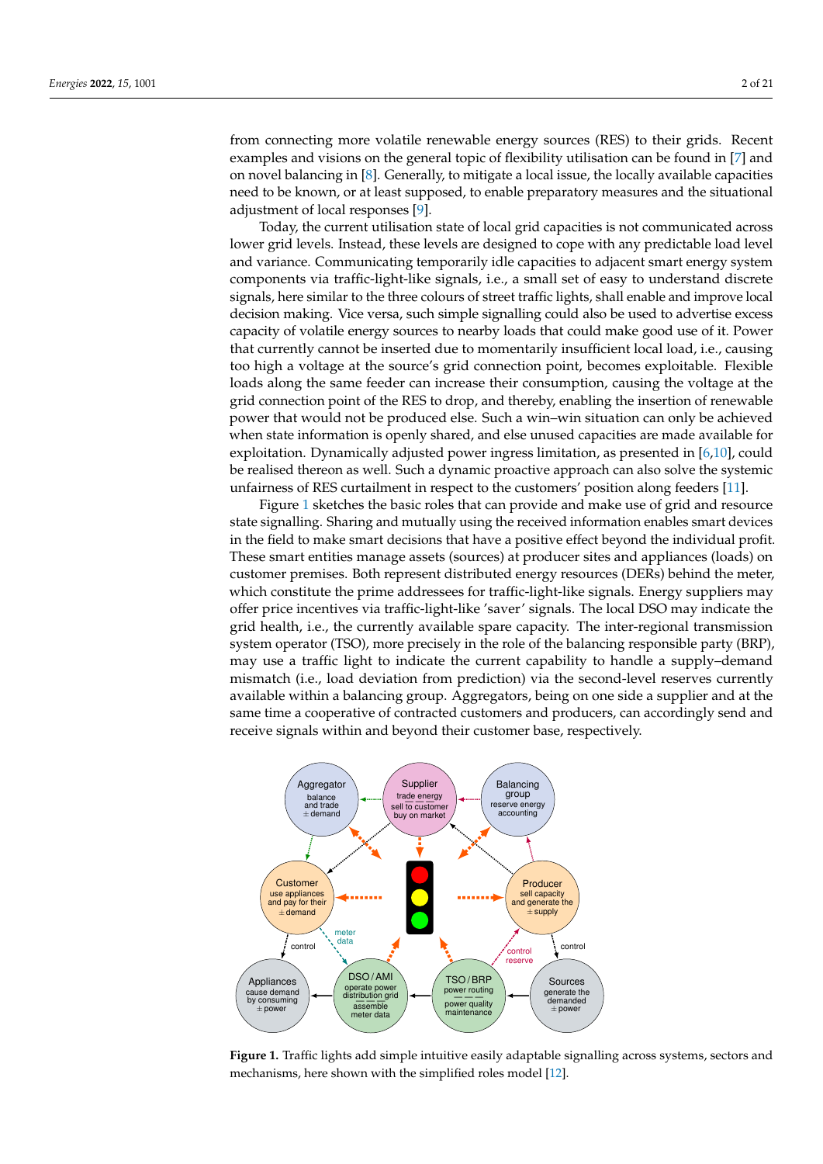from connecting more volatile renewable energy sources (RES) to their grids. Recent examples and visions on the general topic of flexibility utilisation can be found in [\[7\]](#page-19-5) and on novel balancing in [\[8\]](#page-19-6). Generally, to mitigate a local issue, the locally available capacities need to be known, or at least supposed, to enable preparatory measures and the situational adjustment of local responses [\[9\]](#page-19-7).

Today, the current utilisation state of local grid capacities is not communicated across lower grid levels. Instead, these levels are designed to cope with any predictable load level and variance. Communicating temporarily idle capacities to adjacent smart energy system components via traffic-light-like signals, i.e., a small set of easy to understand discrete signals, here similar to the three colours of street traffic lights, shall enable and improve local decision making. Vice versa, such simple signalling could also be used to advertise excess capacity of volatile energy sources to nearby loads that could make good use of it. Power that currently cannot be inserted due to momentarily insufficient local load, i.e., causing too high a voltage at the source's grid connection point, becomes exploitable. Flexible loads along the same feeder can increase their consumption, causing the voltage at the grid connection point of the RES to drop, and thereby, enabling the insertion of renewable power that would not be produced else. Such a win–win situation can only be achieved when state information is openly shared, and else unused capacities are made available for exploitation. Dynamically adjusted power ingress limitation, as presented in [\[6,](#page-19-4)[10\]](#page-19-8), could be realised thereon as well. Such a dynamic proactive approach can also solve the systemic unfairness of RES curtailment in respect to the customers' position along feeders [\[11\]](#page-19-9).

Figure [1](#page-1-0) sketches the basic roles that can provide and make use of grid and resource state signalling. Sharing and mutually using the received information enables smart devices in the field to make smart decisions that have a positive effect beyond the individual profit. These smart entities manage assets (sources) at producer sites and appliances (loads) on customer premises. Both represent distributed energy resources (DERs) behind the meter, which constitute the prime addressees for traffic-light-like signals. Energy suppliers may offer price incentives via traffic-light-like 'saver' signals. The local DSO may indicate the grid health, i.e., the currently available spare capacity. The inter-regional transmission system operator (TSO), more precisely in the role of the balancing responsible party (BRP), may use a traffic light to indicate the current capability to handle a supply–demand mismatch (i.e., load deviation from prediction) via the second-level reserves currently available within a balancing group. Aggregators, being on one side a supplier and at the same time a cooperative of contracted customers and producers, can accordingly send and receive signals within and beyond their customer base, respectively.

<span id="page-1-0"></span>

**Figure 1.** Traffic lights add simple intuitive easily adaptable signalling across systems, sectors and mechanisms, here shown with the simplified roles model [\[12\]](#page-19-10).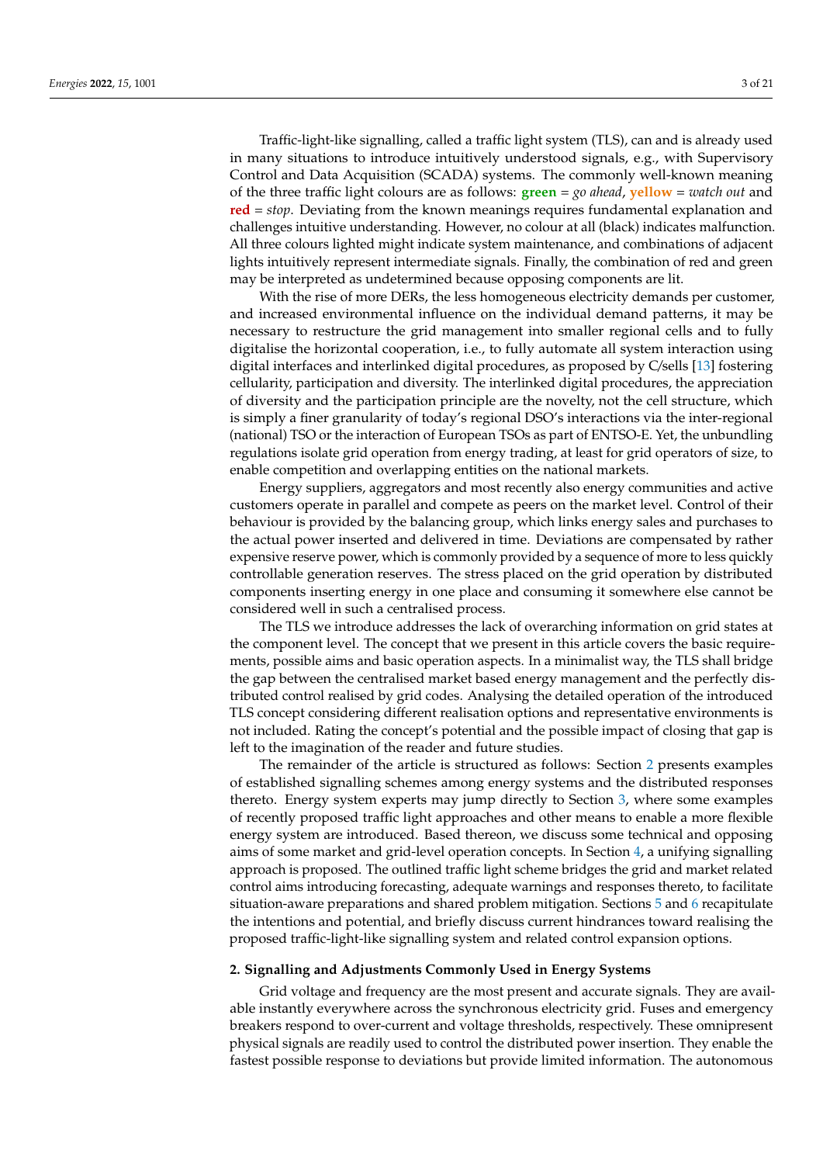Traffic-light-like signalling, called a traffic light system (TLS), can and is already used in many situations to introduce intuitively understood signals, e.g., with Supervisory Control and Data Acquisition (SCADA) systems. The commonly well-known meaning of the three traffic light colours are as follows: **green** = *go ahead*, **yellow** = *watch out* and **red** = *stop*. Deviating from the known meanings requires fundamental explanation and challenges intuitive understanding. However, no colour at all (black) indicates malfunction. All three colours lighted might indicate system maintenance, and combinations of adjacent lights intuitively represent intermediate signals. Finally, the combination of red and green may be interpreted as undetermined because opposing components are lit.

With the rise of more DERs, the less homogeneous electricity demands per customer, and increased environmental influence on the individual demand patterns, it may be necessary to restructure the grid management into smaller regional cells and to fully digitalise the horizontal cooperation, i.e., to fully automate all system interaction using digital interfaces and interlinked digital procedures, as proposed by C/sells [\[13\]](#page-19-11) fostering cellularity, participation and diversity. The interlinked digital procedures, the appreciation of diversity and the participation principle are the novelty, not the cell structure, which is simply a finer granularity of today's regional DSO's interactions via the inter-regional (national) TSO or the interaction of European TSOs as part of ENTSO-E. Yet, the unbundling regulations isolate grid operation from energy trading, at least for grid operators of size, to enable competition and overlapping entities on the national markets.

Energy suppliers, aggregators and most recently also energy communities and active customers operate in parallel and compete as peers on the market level. Control of their behaviour is provided by the balancing group, which links energy sales and purchases to the actual power inserted and delivered in time. Deviations are compensated by rather expensive reserve power, which is commonly provided by a sequence of more to less quickly controllable generation reserves. The stress placed on the grid operation by distributed components inserting energy in one place and consuming it somewhere else cannot be considered well in such a centralised process.

The TLS we introduce addresses the lack of overarching information on grid states at the component level. The concept that we present in this article covers the basic requirements, possible aims and basic operation aspects. In a minimalist way, the TLS shall bridge the gap between the centralised market based energy management and the perfectly distributed control realised by grid codes. Analysing the detailed operation of the introduced TLS concept considering different realisation options and representative environments is not included. Rating the concept's potential and the possible impact of closing that gap is left to the imagination of the reader and future studies.

The remainder of the article is structured as follows: Section [2](#page-2-0) presents examples of established signalling schemes among energy systems and the distributed responses thereto. Energy system experts may jump directly to Section [3,](#page-6-0) where some examples of recently proposed traffic light approaches and other means to enable a more flexible energy system are introduced. Based thereon, we discuss some technical and opposing aims of some market and grid-level operation concepts. In Section [4,](#page-10-0) a unifying signalling approach is proposed. The outlined traffic light scheme bridges the grid and market related control aims introducing forecasting, adequate warnings and responses thereto, to facilitate situation-aware preparations and shared problem mitigation. Sections [5](#page-14-0) and [6](#page-18-0) recapitulate the intentions and potential, and briefly discuss current hindrances toward realising the proposed traffic-light-like signalling system and related control expansion options.

#### <span id="page-2-0"></span>**2. Signalling and Adjustments Commonly Used in Energy Systems**

Grid voltage and frequency are the most present and accurate signals. They are available instantly everywhere across the synchronous electricity grid. Fuses and emergency breakers respond to over-current and voltage thresholds, respectively. These omnipresent physical signals are readily used to control the distributed power insertion. They enable the fastest possible response to deviations but provide limited information. The autonomous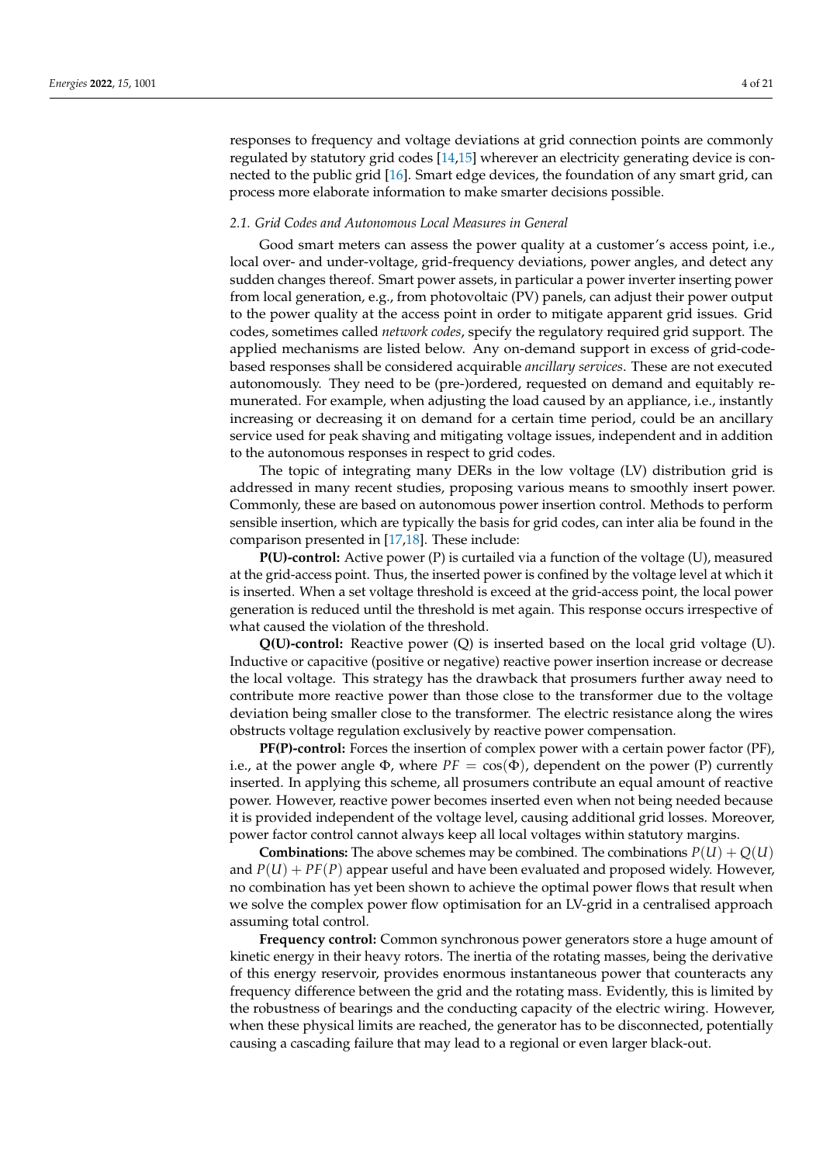responses to frequency and voltage deviations at grid connection points are commonly regulated by statutory grid codes [\[14,](#page-19-12)[15\]](#page-19-13) wherever an electricity generating device is connected to the public grid [\[16\]](#page-19-14). Smart edge devices, the foundation of any smart grid, can process more elaborate information to make smarter decisions possible.

#### *2.1. Grid Codes and Autonomous Local Measures in General*

Good smart meters can assess the power quality at a customer's access point, i.e., local over- and under-voltage, grid-frequency deviations, power angles, and detect any sudden changes thereof. Smart power assets, in particular a power inverter inserting power from local generation, e.g., from photovoltaic (PV) panels, can adjust their power output to the power quality at the access point in order to mitigate apparent grid issues. Grid codes, sometimes called *network codes*, specify the regulatory required grid support. The applied mechanisms are listed below. Any on-demand support in excess of grid-codebased responses shall be considered acquirable *ancillary services*. These are not executed autonomously. They need to be (pre-)ordered, requested on demand and equitably remunerated. For example, when adjusting the load caused by an appliance, i.e., instantly increasing or decreasing it on demand for a certain time period, could be an ancillary service used for peak shaving and mitigating voltage issues, independent and in addition to the autonomous responses in respect to grid codes.

The topic of integrating many DERs in the low voltage (LV) distribution grid is addressed in many recent studies, proposing various means to smoothly insert power. Commonly, these are based on autonomous power insertion control. Methods to perform sensible insertion, which are typically the basis for grid codes, can inter alia be found in the comparison presented in [\[17,](#page-19-15)[18\]](#page-19-16). These include:

**P(U)-control:** Active power (P) is curtailed via a function of the voltage (U), measured at the grid-access point. Thus, the inserted power is confined by the voltage level at which it is inserted. When a set voltage threshold is exceed at the grid-access point, the local power generation is reduced until the threshold is met again. This response occurs irrespective of what caused the violation of the threshold.

**Q(U)-control:** Reactive power (Q) is inserted based on the local grid voltage (U). Inductive or capacitive (positive or negative) reactive power insertion increase or decrease the local voltage. This strategy has the drawback that prosumers further away need to contribute more reactive power than those close to the transformer due to the voltage deviation being smaller close to the transformer. The electric resistance along the wires obstructs voltage regulation exclusively by reactive power compensation.

**PF(P)-control:** Forces the insertion of complex power with a certain power factor (PF), i.e., at the power angle  $\Phi$ , where  $PF = \cos(\Phi)$ , dependent on the power (P) currently inserted. In applying this scheme, all prosumers contribute an equal amount of reactive power. However, reactive power becomes inserted even when not being needed because it is provided independent of the voltage level, causing additional grid losses. Moreover, power factor control cannot always keep all local voltages within statutory margins.

**Combinations:** The above schemes may be combined. The combinations  $P(U) + Q(U)$ and  $P(U) + PF(P)$  appear useful and have been evaluated and proposed widely. However, no combination has yet been shown to achieve the optimal power flows that result when we solve the complex power flow optimisation for an LV-grid in a centralised approach assuming total control.

**Frequency control:** Common synchronous power generators store a huge amount of kinetic energy in their heavy rotors. The inertia of the rotating masses, being the derivative of this energy reservoir, provides enormous instantaneous power that counteracts any frequency difference between the grid and the rotating mass. Evidently, this is limited by the robustness of bearings and the conducting capacity of the electric wiring. However, when these physical limits are reached, the generator has to be disconnected, potentially causing a cascading failure that may lead to a regional or even larger black-out.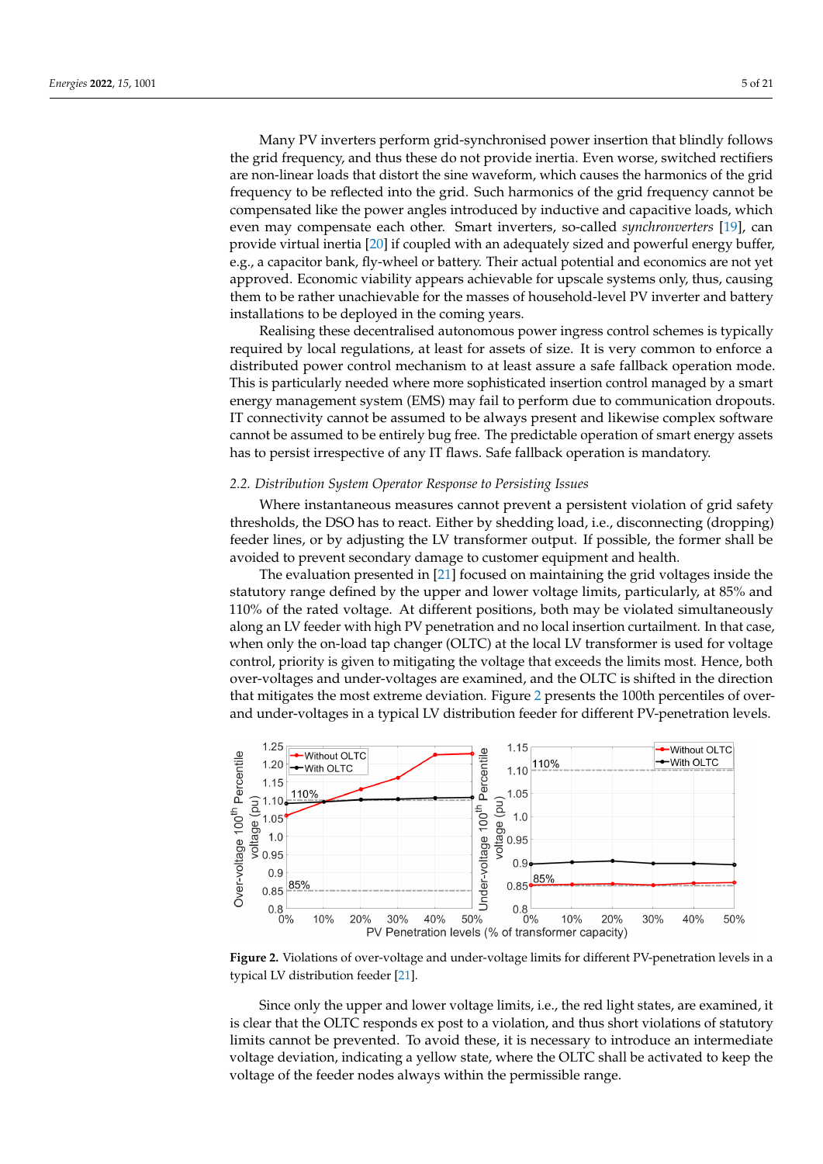Many PV inverters perform grid-synchronised power insertion that blindly follows the grid frequency, and thus these do not provide inertia. Even worse, switched rectifiers are non-linear loads that distort the sine waveform, which causes the harmonics of the grid frequency to be reflected into the grid. Such harmonics of the grid frequency cannot be compensated like the power angles introduced by inductive and capacitive loads, which even may compensate each other. Smart inverters, so-called *synchronverters* [\[19\]](#page-19-17), can provide virtual inertia [\[20\]](#page-19-18) if coupled with an adequately sized and powerful energy buffer, e.g., a capacitor bank, fly-wheel or battery. Their actual potential and economics are not yet approved. Economic viability appears achievable for upscale systems only, thus, causing them to be rather unachievable for the masses of household-level PV inverter and battery installations to be deployed in the coming years.

Realising these decentralised autonomous power ingress control schemes is typically required by local regulations, at least for assets of size. It is very common to enforce a distributed power control mechanism to at least assure a safe fallback operation mode. This is particularly needed where more sophisticated insertion control managed by a smart energy management system (EMS) may fail to perform due to communication dropouts. IT connectivity cannot be assumed to be always present and likewise complex software cannot be assumed to be entirely bug free. The predictable operation of smart energy assets has to persist irrespective of any IT flaws. Safe fallback operation is mandatory.

### *2.2. Distribution System Operator Response to Persisting Issues*

Where instantaneous measures cannot prevent a persistent violation of grid safety thresholds, the DSO has to react. Either by shedding load, i.e., disconnecting (dropping) feeder lines, or by adjusting the LV transformer output. If possible, the former shall be avoided to prevent secondary damage to customer equipment and health.

The evaluation presented in [\[21\]](#page-19-19) focused on maintaining the grid voltages inside the statutory range defined by the upper and lower voltage limits, particularly, at 85% and 110% of the rated voltage. At different positions, both may be violated simultaneously along an LV feeder with high PV penetration and no local insertion curtailment. In that case, when only the on-load tap changer (OLTC) at the local LV transformer is used for voltage control, priority is given to mitigating the voltage that exceeds the limits most. Hence, both over-voltages and under-voltages are examined, and the OLTC is shifted in the direction that mitigates the most extreme deviation. Figure [2](#page-4-0) presents the 100th percentiles of overand under-voltages in a typical LV distribution feeder for different PV-penetration levels.

<span id="page-4-0"></span>

**Figure 2.** Violations of over-voltage and under-voltage limits for different PV-penetration levels in a typical LV distribution feeder [\[21\]](#page-19-19).

Since only the upper and lower voltage limits, i.e., the red light states, are examined, it is clear that the OLTC responds ex post to a violation, and thus short violations of statutory limits cannot be prevented. To avoid these, it is necessary to introduce an intermediate voltage deviation, indicating a yellow state, where the OLTC shall be activated to keep the voltage of the feeder nodes always within the permissible range.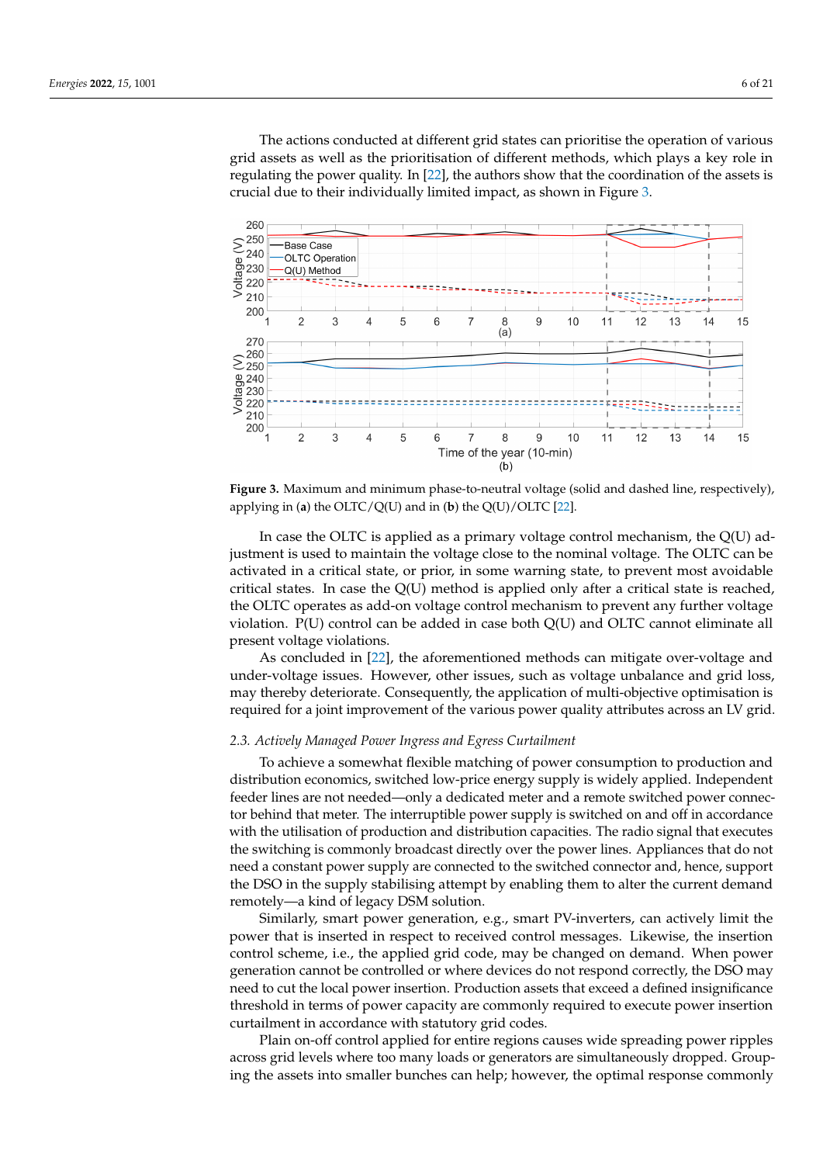The actions conducted at different grid states can prioritise the operation of various grid assets as well as the prioritisation of different methods, which plays a key role in regulating the power quality. In [\[22\]](#page-19-20), the authors show that the coordination of the assets is crucial due to their individually limited impact, as shown in Figure [3.](#page-5-0)

<span id="page-5-0"></span>

**Figure 3.** Maximum and minimum phase-to-neutral voltage (solid and dashed line, respectively), applying in (**a**) the OLTC/Q(U) and in (**b**) the Q(U)/OLTC [\[22\]](#page-19-20).

In case the OLTC is applied as a primary voltage control mechanism, the Q(U) adjustment is used to maintain the voltage close to the nominal voltage. The OLTC can be activated in a critical state, or prior, in some warning state, to prevent most avoidable critical states. In case the  $Q(U)$  method is applied only after a critical state is reached, the OLTC operates as add-on voltage control mechanism to prevent any further voltage violation. P(U) control can be added in case both Q(U) and OLTC cannot eliminate all present voltage violations.

As concluded in [\[22\]](#page-19-20), the aforementioned methods can mitigate over-voltage and under-voltage issues. However, other issues, such as voltage unbalance and grid loss, may thereby deteriorate. Consequently, the application of multi-objective optimisation is required for a joint improvement of the various power quality attributes across an LV grid.

#### *2.3. Actively Managed Power Ingress and Egress Curtailment*

To achieve a somewhat flexible matching of power consumption to production and distribution economics, switched low-price energy supply is widely applied. Independent feeder lines are not needed—only a dedicated meter and a remote switched power connector behind that meter. The interruptible power supply is switched on and off in accordance with the utilisation of production and distribution capacities. The radio signal that executes the switching is commonly broadcast directly over the power lines. Appliances that do not need a constant power supply are connected to the switched connector and, hence, support the DSO in the supply stabilising attempt by enabling them to alter the current demand remotely—a kind of legacy DSM solution.

Similarly, smart power generation, e.g., smart PV-inverters, can actively limit the power that is inserted in respect to received control messages. Likewise, the insertion control scheme, i.e., the applied grid code, may be changed on demand. When power generation cannot be controlled or where devices do not respond correctly, the DSO may need to cut the local power insertion. Production assets that exceed a defined insignificance threshold in terms of power capacity are commonly required to execute power insertion curtailment in accordance with statutory grid codes.

Plain on-off control applied for entire regions causes wide spreading power ripples across grid levels where too many loads or generators are simultaneously dropped. Grouping the assets into smaller bunches can help; however, the optimal response commonly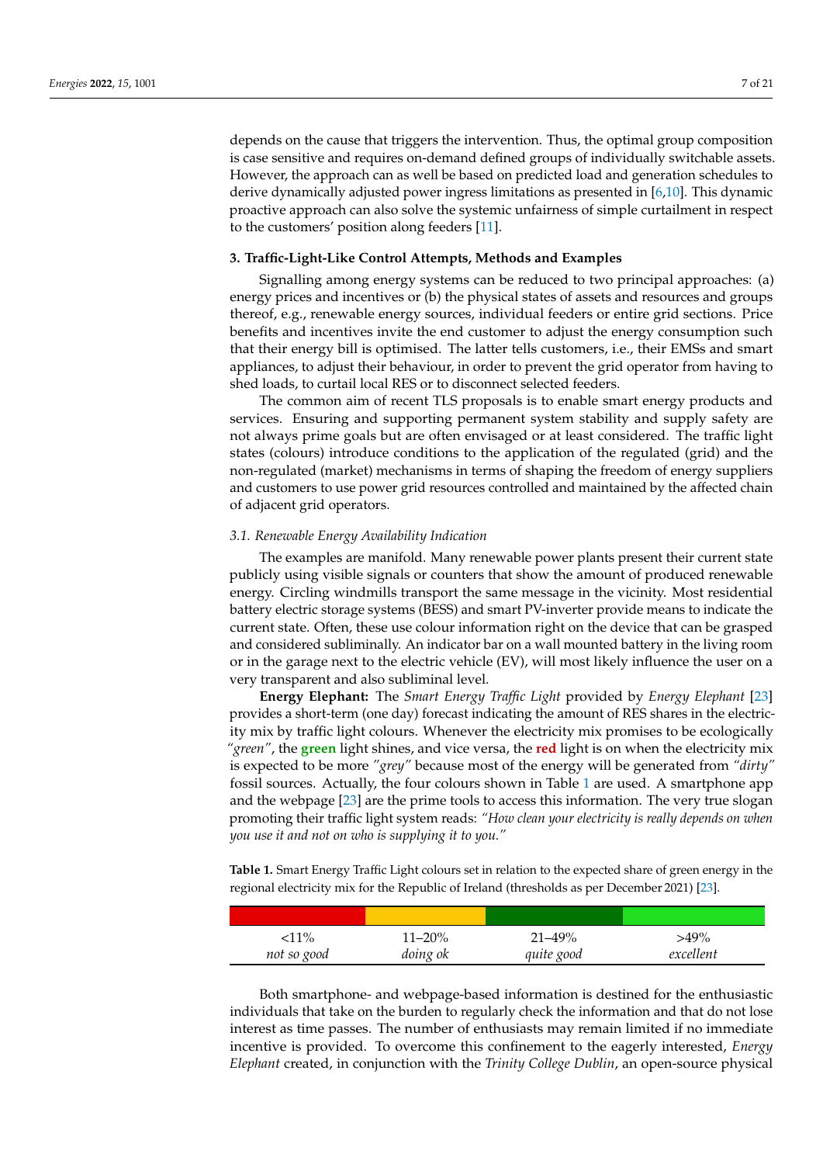depends on the cause that triggers the intervention. Thus, the optimal group composition is case sensitive and requires on-demand defined groups of individually switchable assets. However, the approach can as well be based on predicted load and generation schedules to derive dynamically adjusted power ingress limitations as presented in [\[6](#page-19-4)[,10\]](#page-19-8). This dynamic proactive approach can also solve the systemic unfairness of simple curtailment in respect to the customers' position along feeders [\[11\]](#page-19-9).

#### <span id="page-6-0"></span>**3. Traffic-Light-Like Control Attempts, Methods and Examples**

Signalling among energy systems can be reduced to two principal approaches: (a) energy prices and incentives or (b) the physical states of assets and resources and groups thereof, e.g., renewable energy sources, individual feeders or entire grid sections. Price benefits and incentives invite the end customer to adjust the energy consumption such that their energy bill is optimised. The latter tells customers, i.e., their EMSs and smart appliances, to adjust their behaviour, in order to prevent the grid operator from having to shed loads, to curtail local RES or to disconnect selected feeders.

The common aim of recent TLS proposals is to enable smart energy products and services. Ensuring and supporting permanent system stability and supply safety are not always prime goals but are often envisaged or at least considered. The traffic light states (colours) introduce conditions to the application of the regulated (grid) and the non-regulated (market) mechanisms in terms of shaping the freedom of energy suppliers and customers to use power grid resources controlled and maintained by the affected chain of adjacent grid operators.

#### *3.1. Renewable Energy Availability Indication*

The examples are manifold. Many renewable power plants present their current state publicly using visible signals or counters that show the amount of produced renewable energy. Circling windmills transport the same message in the vicinity. Most residential battery electric storage systems (BESS) and smart PV-inverter provide means to indicate the current state. Often, these use colour information right on the device that can be grasped and considered subliminally. An indicator bar on a wall mounted battery in the living room or in the garage next to the electric vehicle (EV), will most likely influence the user on a very transparent and also subliminal level.

**Energy Elephant:** The *Smart Energy Traffic Light* provided by *Energy Elephant* [\[23\]](#page-20-0) provides a short-term (one day) forecast indicating the amount of RES shares in the electricity mix by traffic light colours. Whenever the electricity mix promises to be ecologically *"green"*, the **green** light shines, and vice versa, the **red** light is on when the electricity mix is expected to be more *"grey"* because most of the energy will be generated from *"dirty"* fossil sources. Actually, the four colours shown in Table [1](#page-6-1) are used. A smartphone app and the webpage [\[23\]](#page-20-0) are the prime tools to access this information. The very true slogan promoting their traffic light system reads: *"How clean your electricity is really depends on when you use it and not on who is supplying it to you."*

<span id="page-6-1"></span>**Table 1.** Smart Energy Traffic Light colours set in relation to the expected share of green energy in the regional electricity mix for the Republic of Ireland (thresholds as per December 2021) [\[23\]](#page-20-0).

| $<$ 11%     | 11–20%   | $21 - 49%$ | $>49\%$   |
|-------------|----------|------------|-----------|
| not so good | doing ok | quite good | excellent |

Both smartphone- and webpage-based information is destined for the enthusiastic individuals that take on the burden to regularly check the information and that do not lose interest as time passes. The number of enthusiasts may remain limited if no immediate incentive is provided. To overcome this confinement to the eagerly interested, *Energy Elephant* created, in conjunction with the *Trinity College Dublin*, an open-source physical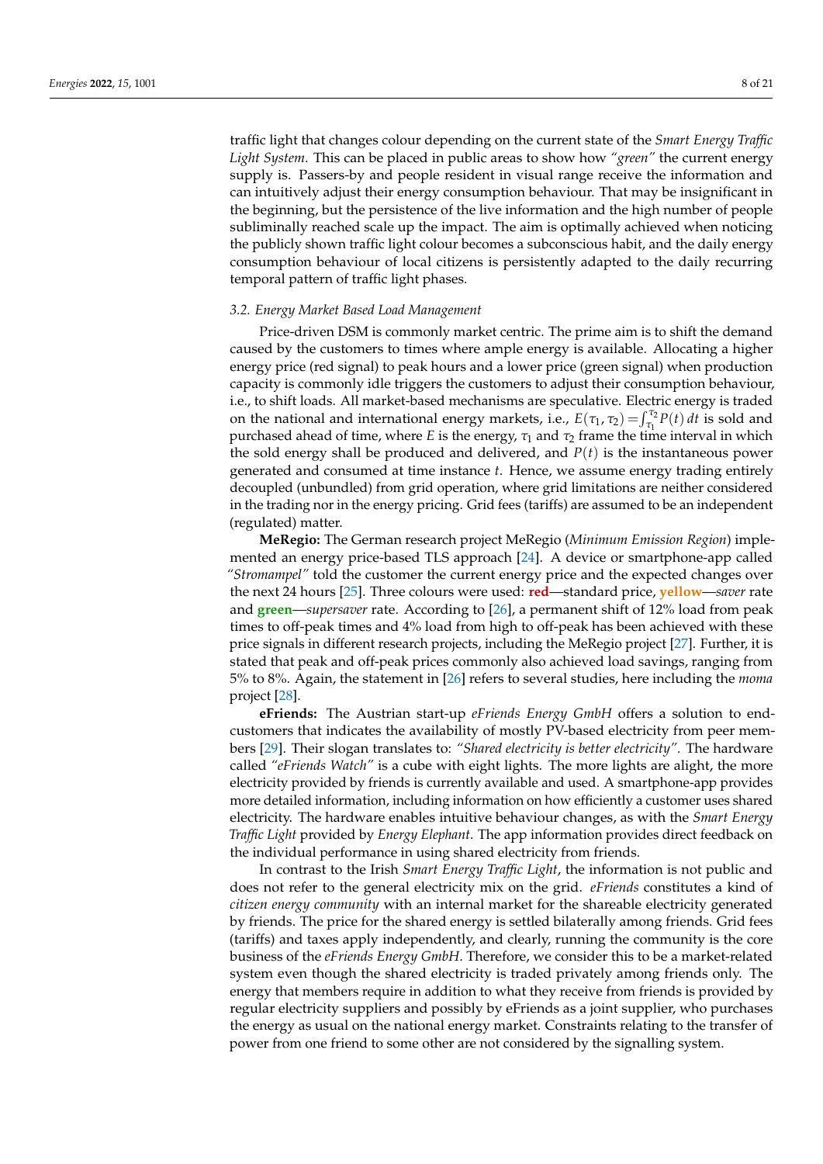traffic light that changes colour depending on the current state of the *Smart Energy Traffic Light System*. This can be placed in public areas to show how *"green"* the current energy supply is. Passers-by and people resident in visual range receive the information and can intuitively adjust their energy consumption behaviour. That may be insignificant in the beginning, but the persistence of the live information and the high number of people subliminally reached scale up the impact. The aim is optimally achieved when noticing the publicly shown traffic light colour becomes a subconscious habit, and the daily energy consumption behaviour of local citizens is persistently adapted to the daily recurring temporal pattern of traffic light phases.

#### <span id="page-7-0"></span>*3.2. Energy Market Based Load Management*

Price-driven DSM is commonly market centric. The prime aim is to shift the demand caused by the customers to times where ample energy is available. Allocating a higher energy price (red signal) to peak hours and a lower price (green signal) when production capacity is commonly idle triggers the customers to adjust their consumption behaviour, i.e., to shift loads. All market-based mechanisms are speculative. Electric energy is traded on the national and international energy markets, i.e.,  $E(\tau_1, \tau_2) = \int_{\tau_1}^{\tau_2} P(t) dt$  is sold and purchased ahead of time, where *E* is the energy,  $\tau_1$  and  $\tau_2$  frame the time interval in which the sold energy shall be produced and delivered, and *P*(*t*) is the instantaneous power generated and consumed at time instance *t*. Hence, we assume energy trading entirely decoupled (unbundled) from grid operation, where grid limitations are neither considered in the trading nor in the energy pricing. Grid fees (tariffs) are assumed to be an independent (regulated) matter.

**MeRegio:** The German research project MeRegio (*Minimum Emission Region*) implemented an energy price-based TLS approach [\[24\]](#page-20-1). A device or smartphone-app called *"Stromampel"* told the customer the current energy price and the expected changes over the next 24 hours [\[25\]](#page-20-2). Three colours were used: **red**—standard price, **yellow**—*saver* rate and **green**—*supersaver* rate. According to [\[26\]](#page-20-3), a permanent shift of 12% load from peak times to off-peak times and 4% load from high to off-peak has been achieved with these price signals in different research projects, including the MeRegio project [\[27\]](#page-20-4). Further, it is stated that peak and off-peak prices commonly also achieved load savings, ranging from 5% to 8%. Again, the statement in [\[26\]](#page-20-3) refers to several studies, here including the *moma* project [\[28\]](#page-20-5).

**eFriends:** The Austrian start-up *eFriends Energy GmbH* offers a solution to endcustomers that indicates the availability of mostly PV-based electricity from peer members [\[29\]](#page-20-6). Their slogan translates to: *"Shared electricity is better electricity".* The hardware called *"eFriends Watch"* is a cube with eight lights. The more lights are alight, the more electricity provided by friends is currently available and used. A smartphone-app provides more detailed information, including information on how efficiently a customer uses shared electricity. The hardware enables intuitive behaviour changes, as with the *Smart Energy Traffic Light* provided by *Energy Elephant*. The app information provides direct feedback on the individual performance in using shared electricity from friends.

In contrast to the Irish *Smart Energy Traffic Light*, the information is not public and does not refer to the general electricity mix on the grid. *eFriends* constitutes a kind of *citizen energy community* with an internal market for the shareable electricity generated by friends. The price for the shared energy is settled bilaterally among friends. Grid fees (tariffs) and taxes apply independently, and clearly, running the community is the core business of the *eFriends Energy GmbH*. Therefore, we consider this to be a market-related system even though the shared electricity is traded privately among friends only. The energy that members require in addition to what they receive from friends is provided by regular electricity suppliers and possibly by eFriends as a joint supplier, who purchases the energy as usual on the national energy market. Constraints relating to the transfer of power from one friend to some other are not considered by the signalling system.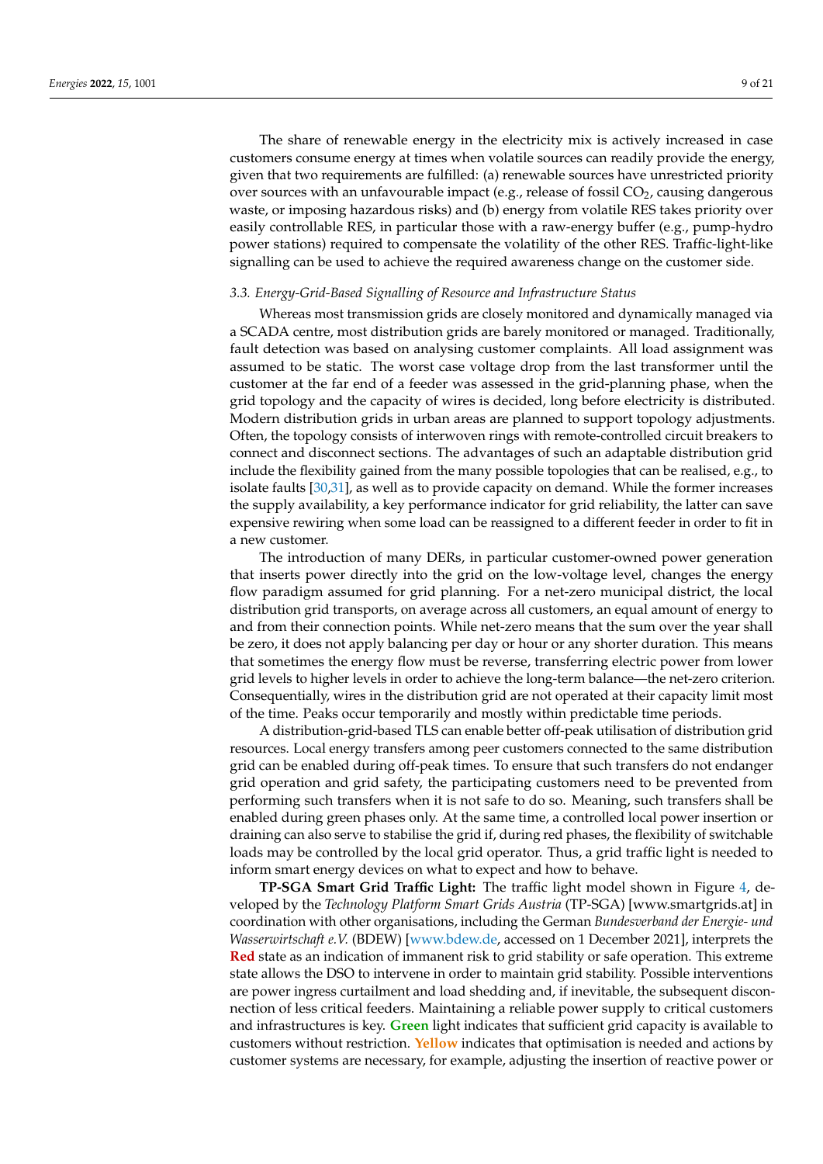The share of renewable energy in the electricity mix is actively increased in case customers consume energy at times when volatile sources can readily provide the energy, given that two requirements are fulfilled: (a) renewable sources have unrestricted priority over sources with an unfavourable impact (e.g., release of fossil  $CO<sub>2</sub>$ , causing dangerous waste, or imposing hazardous risks) and (b) energy from volatile RES takes priority over easily controllable RES, in particular those with a raw-energy buffer (e.g., pump-hydro power stations) required to compensate the volatility of the other RES. Traffic-light-like signalling can be used to achieve the required awareness change on the customer side.

#### <span id="page-8-0"></span>*3.3. Energy-Grid-Based Signalling of Resource and Infrastructure Status*

Whereas most transmission grids are closely monitored and dynamically managed via a SCADA centre, most distribution grids are barely monitored or managed. Traditionally, fault detection was based on analysing customer complaints. All load assignment was assumed to be static. The worst case voltage drop from the last transformer until the customer at the far end of a feeder was assessed in the grid-planning phase, when the grid topology and the capacity of wires is decided, long before electricity is distributed. Modern distribution grids in urban areas are planned to support topology adjustments. Often, the topology consists of interwoven rings with remote-controlled circuit breakers to connect and disconnect sections. The advantages of such an adaptable distribution grid include the flexibility gained from the many possible topologies that can be realised, e.g., to isolate faults [\[30](#page-20-7)[,31\]](#page-20-8), as well as to provide capacity on demand. While the former increases the supply availability, a key performance indicator for grid reliability, the latter can save expensive rewiring when some load can be reassigned to a different feeder in order to fit in a new customer.

The introduction of many DERs, in particular customer-owned power generation that inserts power directly into the grid on the low-voltage level, changes the energy flow paradigm assumed for grid planning. For a net-zero municipal district, the local distribution grid transports, on average across all customers, an equal amount of energy to and from their connection points. While net-zero means that the sum over the year shall be zero, it does not apply balancing per day or hour or any shorter duration. This means that sometimes the energy flow must be reverse, transferring electric power from lower grid levels to higher levels in order to achieve the long-term balance—the net-zero criterion. Consequentially, wires in the distribution grid are not operated at their capacity limit most of the time. Peaks occur temporarily and mostly within predictable time periods.

A distribution-grid-based TLS can enable better off-peak utilisation of distribution grid resources. Local energy transfers among peer customers connected to the same distribution grid can be enabled during off-peak times. To ensure that such transfers do not endanger grid operation and grid safety, the participating customers need to be prevented from performing such transfers when it is not safe to do so. Meaning, such transfers shall be enabled during green phases only. At the same time, a controlled local power insertion or draining can also serve to stabilise the grid if, during red phases, the flexibility of switchable loads may be controlled by the local grid operator. Thus, a grid traffic light is needed to inform smart energy devices on what to expect and how to behave.

**TP-SGA Smart Grid Traffic Light:** The traffic light model shown in Figure [4,](#page-9-0) developed by the *Technology Platform Smart Grids Austria* (TP-SGA) [\[www.smartgrids.at\]](www.smartgrids.at) in coordination with other organisations, including the German *Bundesverband der Energie- und Wasserwirtschaft e.V.* (BDEW) [\[www.bdew.de,](www.bdew.de) accessed on 1 December 2021], interprets the **Red** state as an indication of immanent risk to grid stability or safe operation. This extreme state allows the DSO to intervene in order to maintain grid stability. Possible interventions are power ingress curtailment and load shedding and, if inevitable, the subsequent disconnection of less critical feeders. Maintaining a reliable power supply to critical customers and infrastructures is key. **Green** light indicates that sufficient grid capacity is available to customers without restriction. **Yellow** indicates that optimisation is needed and actions by customer systems are necessary, for example, adjusting the insertion of reactive power or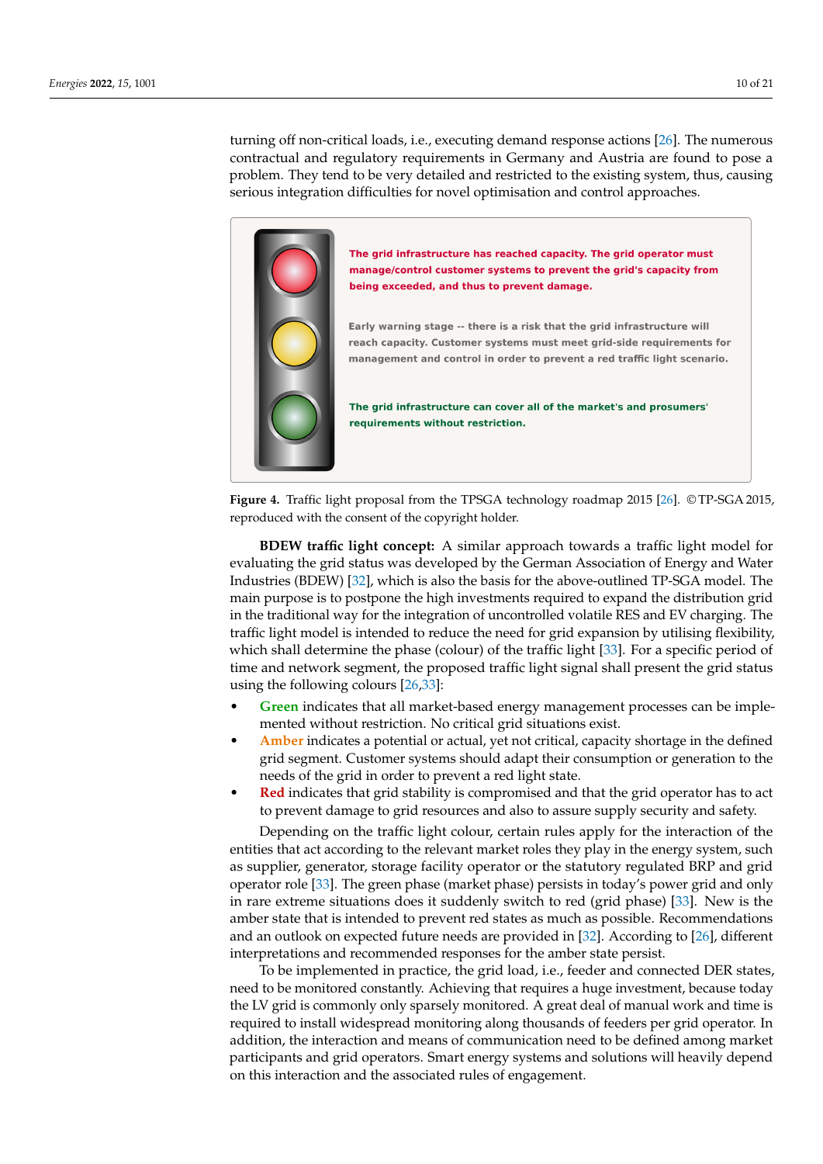turning off non-critical loads, i.e., executing demand response actions [\[26\]](#page-20-3). The numerous contractual and regulatory requirements in Germany and Austria are found to pose a problem. They tend to be very detailed and restricted to the existing system, thus, causing serious integration difficulties for novel optimisation and control approaches.

<span id="page-9-0"></span>

**Figure 4.** Traffic light proposal from the TPSGA technology roadmap 2015 [\[26\]](#page-20-3). © TP-SGA 2015, reproduced with the consent of the copyright holder.

**BDEW traffic light concept:** A similar approach towards a traffic light model for evaluating the grid status was developed by the German Association of Energy and Water Industries (BDEW) [\[32\]](#page-20-9), which is also the basis for the above-outlined TP-SGA model. The main purpose is to postpone the high investments required to expand the distribution grid in the traditional way for the integration of uncontrolled volatile RES and EV charging. The traffic light model is intended to reduce the need for grid expansion by utilising flexibility, which shall determine the phase (colour) of the traffic light [\[33\]](#page-20-10). For a specific period of time and network segment, the proposed traffic light signal shall present the grid status using the following colours [\[26](#page-20-3)[,33\]](#page-20-10):

- **Green** indicates that all market-based energy management processes can be implemented without restriction. No critical grid situations exist.
- **Amber** indicates a potential or actual, yet not critical, capacity shortage in the defined grid segment. Customer systems should adapt their consumption or generation to the needs of the grid in order to prevent a red light state.
- **Red** indicates that grid stability is compromised and that the grid operator has to act to prevent damage to grid resources and also to assure supply security and safety.

Depending on the traffic light colour, certain rules apply for the interaction of the entities that act according to the relevant market roles they play in the energy system, such as supplier, generator, storage facility operator or the statutory regulated BRP and grid operator role [\[33\]](#page-20-10). The green phase (market phase) persists in today's power grid and only in rare extreme situations does it suddenly switch to red (grid phase) [\[33\]](#page-20-10). New is the amber state that is intended to prevent red states as much as possible. Recommendations and an outlook on expected future needs are provided in [\[32\]](#page-20-9). According to [\[26\]](#page-20-3), different interpretations and recommended responses for the amber state persist.

To be implemented in practice, the grid load, i.e., feeder and connected DER states, need to be monitored constantly. Achieving that requires a huge investment, because today the LV grid is commonly only sparsely monitored. A great deal of manual work and time is required to install widespread monitoring along thousands of feeders per grid operator. In addition, the interaction and means of communication need to be defined among market participants and grid operators. Smart energy systems and solutions will heavily depend on this interaction and the associated rules of engagement.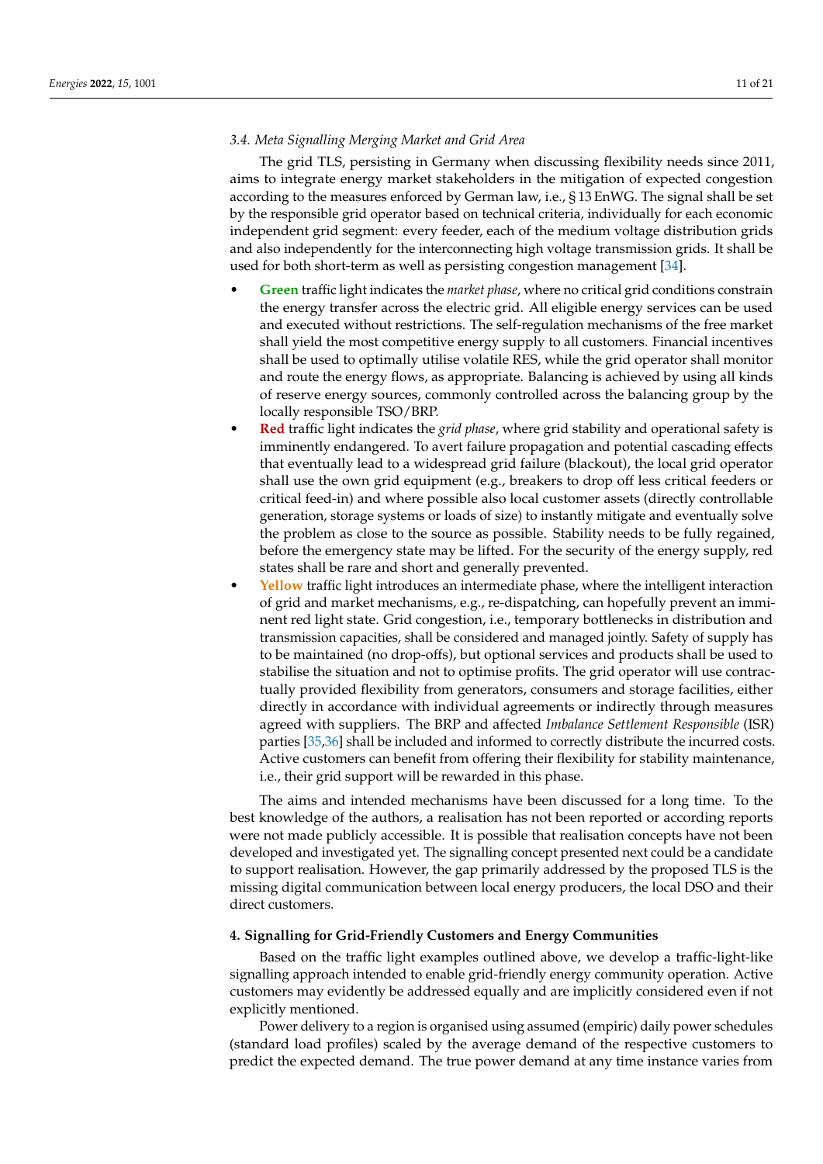#### <span id="page-10-1"></span>*3.4. Meta Signalling Merging Market and Grid Area*

The grid TLS, persisting in Germany when discussing flexibility needs since 2011, aims to integrate energy market stakeholders in the mitigation of expected congestion according to the measures enforced by German law, i.e., § 13 EnWG. The signal shall be set by the responsible grid operator based on technical criteria, individually for each economic independent grid segment: every feeder, each of the medium voltage distribution grids and also independently for the interconnecting high voltage transmission grids. It shall be used for both short-term as well as persisting congestion management [\[34\]](#page-20-11).

- **Green** traffic light indicates the *market phase*, where no critical grid conditions constrain the energy transfer across the electric grid. All eligible energy services can be used and executed without restrictions. The self-regulation mechanisms of the free market shall yield the most competitive energy supply to all customers. Financial incentives shall be used to optimally utilise volatile RES, while the grid operator shall monitor and route the energy flows, as appropriate. Balancing is achieved by using all kinds of reserve energy sources, commonly controlled across the balancing group by the locally responsible TSO/BRP.
- **Red** traffic light indicates the *grid phase*, where grid stability and operational safety is imminently endangered. To avert failure propagation and potential cascading effects that eventually lead to a widespread grid failure (blackout), the local grid operator shall use the own grid equipment (e.g., breakers to drop off less critical feeders or critical feed-in) and where possible also local customer assets (directly controllable generation, storage systems or loads of size) to instantly mitigate and eventually solve the problem as close to the source as possible. Stability needs to be fully regained, before the emergency state may be lifted. For the security of the energy supply, red states shall be rare and short and generally prevented.
- **Yellow** traffic light introduces an intermediate phase, where the intelligent interaction of grid and market mechanisms, e.g., re-dispatching, can hopefully prevent an imminent red light state. Grid congestion, i.e., temporary bottlenecks in distribution and transmission capacities, shall be considered and managed jointly. Safety of supply has to be maintained (no drop-offs), but optional services and products shall be used to stabilise the situation and not to optimise profits. The grid operator will use contractually provided flexibility from generators, consumers and storage facilities, either directly in accordance with individual agreements or indirectly through measures agreed with suppliers. The BRP and affected *Imbalance Settlement Responsible* (ISR) parties [\[35,](#page-20-12)[36\]](#page-20-13) shall be included and informed to correctly distribute the incurred costs. Active customers can benefit from offering their flexibility for stability maintenance, i.e., their grid support will be rewarded in this phase.

The aims and intended mechanisms have been discussed for a long time. To the best knowledge of the authors, a realisation has not been reported or according reports were not made publicly accessible. It is possible that realisation concepts have not been developed and investigated yet. The signalling concept presented next could be a candidate to support realisation. However, the gap primarily addressed by the proposed TLS is the missing digital communication between local energy producers, the local DSO and their direct customers.

#### <span id="page-10-0"></span>**4. Signalling for Grid-Friendly Customers and Energy Communities**

Based on the traffic light examples outlined above, we develop a traffic-light-like signalling approach intended to enable grid-friendly energy community operation. Active customers may evidently be addressed equally and are implicitly considered even if not explicitly mentioned.

Power delivery to a region is organised using assumed (empiric) daily power schedules (standard load profiles) scaled by the average demand of the respective customers to predict the expected demand. The true power demand at any time instance varies from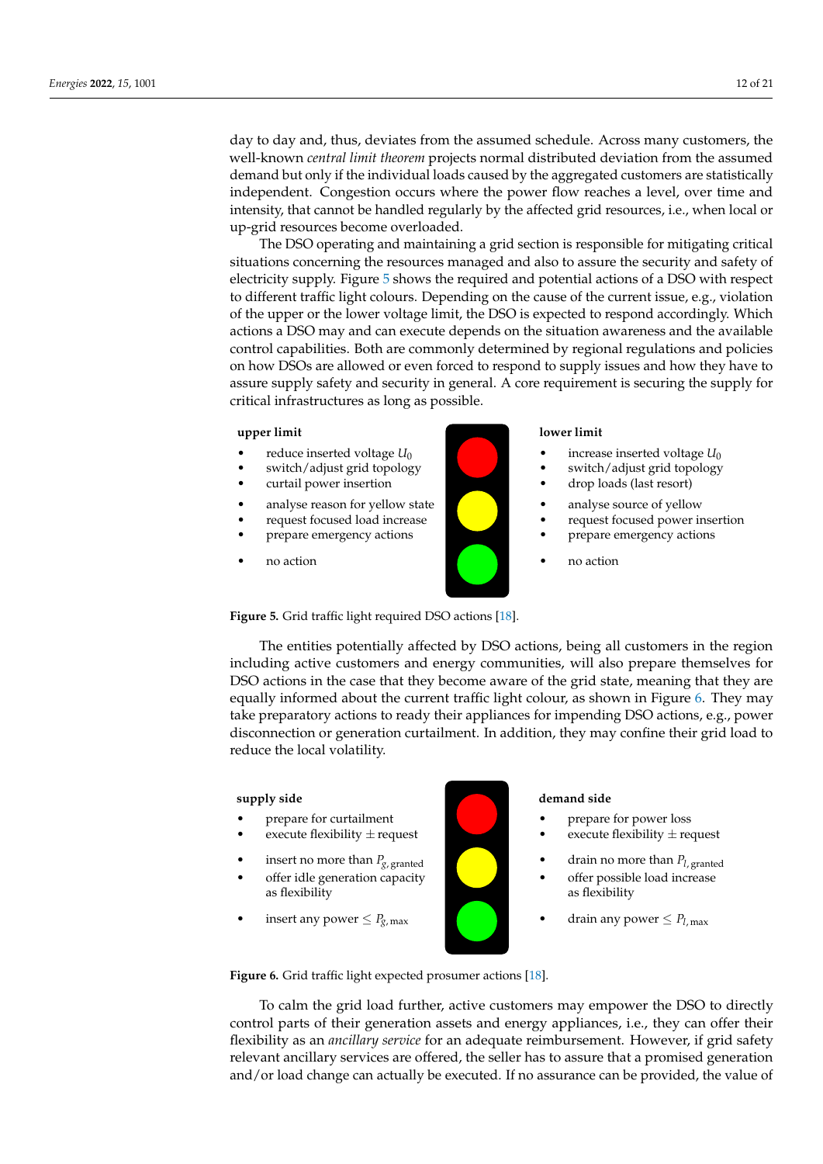day to day and, thus, deviates from the assumed schedule. Across many customers, the well-known *central limit theorem* projects normal distributed deviation from the assumed demand but only if the individual loads caused by the aggregated customers are statistically independent. Congestion occurs where the power flow reaches a level, over time and intensity, that cannot be handled regularly by the affected grid resources, i.e., when local or up-grid resources become overloaded.

 $\overrightarrow{a}$  The DSO operating and maintaining a grid section is responsible for mitigating critical situations concerning the resources managed and also to assure the security and safety of electricity supply. Figure [5](#page-11-0) shows the required and potential actions of a DSO with respect to different traffic light colours. Depending on the cause of the current issue, e.g., violation of the upper or the lower voltage limit, the DSO is expected to respond accordingly. Which actions a DSO may and can execute depends on the situation awareness and the available control capabilities. Both are commonly determined by regional regulations and policies on how DSOs are allowed or even forced to respond to supply issues and how they have to assure supply safety and security in general. A core requirement is securing the supply for critical infrastructures as long as possible.

#### <span id="page-11-0"></span>**upper limit**

- reduce inserted voltage  $U_0$
- switch/adjust grid topology
- curtail power insertion
- analyse reason for yellow state
- request focused load increase
- prepare emergency actions
- no action

Figure 5. Grid traffic light required DSO actions [\[18\]](#page-19-16).

Version January 16, 2022 submitted to *Energies* 13 of 22

The entities potentially affected by DSO actions, being all customers in the region including active customers and energy communities, will also prepare themselves for DSO actions in the case that they become aware of the grid state, meaning that they are equally informed about the current traffic light colour, as s[ho](#page-11-1)wn in Figure 6. They may take preparatory actions to ready their appliances for impending DSO actions, e.g., power disconnection or generation curtailment. In addition, they may confine their grid load to Figure the local volatility.  $515$  customers may employ the DSO to directly control parts of the DSO to directly control parts of the  $\alpha$ 

#### **supply side**

- prepare for curtailment **a •** prepare for power loss
- execute flexibility  $\pm$  request execute flexibility  $\pm$  request
	- insert no more than  $P_{g, \text{granted}}$
	- offer idle generation capacity as flexibility
	- insert any power  $\leq P_{g,\text{max}}$

**517 addequare reimbursement. However, if grid safety relevant anciennal side** demand side

- prepare for power loss
- execute flexibility  $\pm$  request
- drain no more than *Pl*, granted
- offer possible load increase as flexibility
- drain any power  $\leq P_{l,\text{max}}$

Figure 6. Grid traffic light expected prosumer actions [\[18\]](#page-19-16).

To calm the grid load further, active customers may empower the DSO to directly control parts of their generation assets and energy appliances, i.e., they can offer their flexibility as an *ancillary service* for an adequate reimbursement. However, if grid safety relevant ancillary services are offered, the seller has to assure that a promised generation and/or load change can actually be executed. If no assurance can be provided, the value of

<span id="page-11-1"></span>

# **lower limit** • increase inserted voltage *U*<sup>0</sup>

- switch/adjust grid topology
- drop loads (last resort)
- analyse source of yellow
- request focused power insertion
- prepare emergency actions
- no action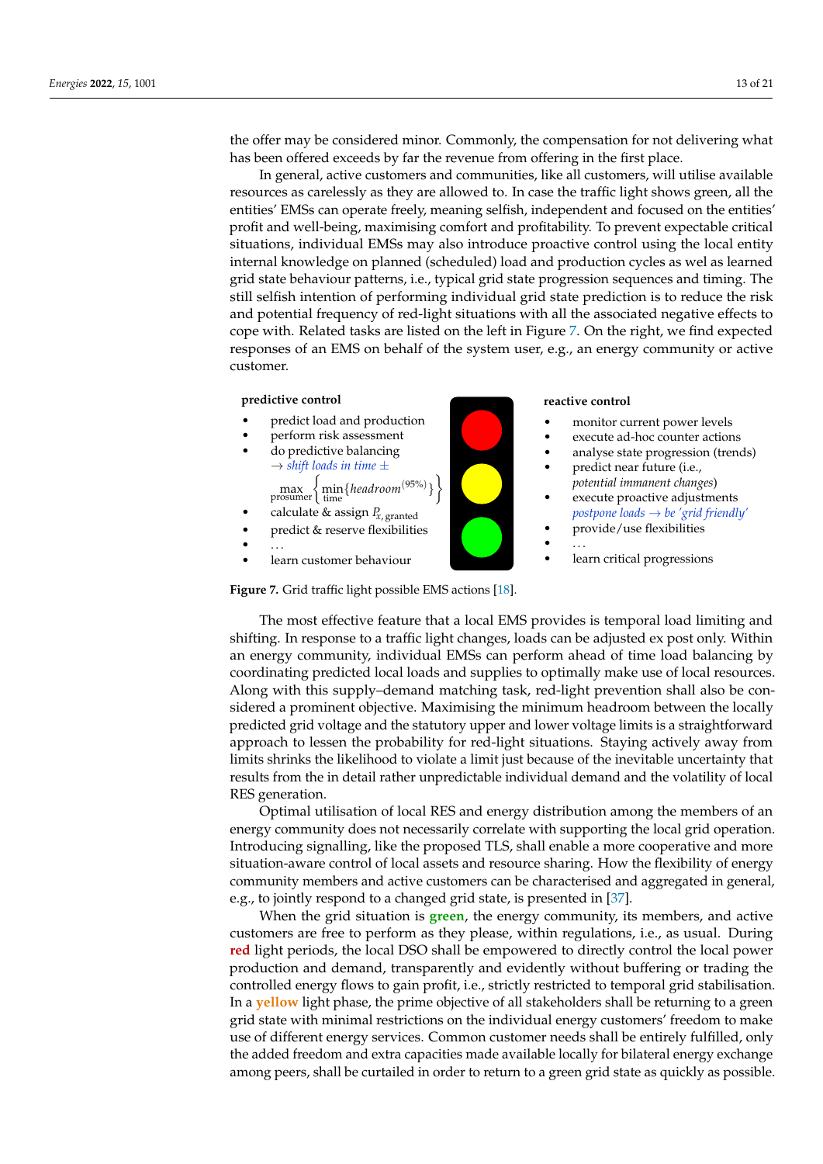the offer may be considered minor. Commonly, the compensation for not delivering what has been offered exceeds by far the revenue from offering in the first place.

In general, active customers and communities, like all customers, will utilise available resources as carelessly as they are allowed to. In case the traffic light shows green, all the entities' EMSs can operate freely, meaning selfish, independent and focused on the entities' profit and well-being, maximising comfort and profitability. To prevent expectable critical situations, individual EMSs may also introduce proactive control using the local entity internal knowledge on planned (scheduled) load and production cycles as wel as learned grid state behaviour patterns, i.e., typical grid state progression sequences and timing. The still selfish intention of performing individual grid state prediction is to reduce the risk and potential frequency of red-light situations with all the associated negative effects to cope with. Related tasks are listed on the left in Figure 7. On the right, we find expected responses of an EMS on behalf of the system user, e.g., an energy community or active customer.

# <span id="page-12-0"></span>**predictive control**

- predict load and production
- perform risk assessment
- do predictive balancing  $\rightarrow$  *shift loads in time*  $\pm$ 
	- max prosumer min time {*headroom*(95%) }
- calculate  $\&$  assign  $P_{X, \text{granted}}$
- predict & reserve flexibilities
- $\bullet$  . . . .
- learn customer behaviour

Figure 7. Grid traffic light possible EMS actions [[18\]](#page-19-16).

The most effective feature that a local EMS provides is temporal load limiting and shifting. In response to a traffic light changes, loads can be adjusted ex post only. Within an energy community, individual EMSs can perform ahead of time load balancing by coordinating predicted local loads and supplies to optimally make use of local resources. Along with this supply–demand matching task, red-light prevention shall also be considered a prominent objective. Maximising the minimum headroom between the locally predicted grid voltage and the statutory upper and lower voltage limits is a straightforward approach to lessen the probability for red-light situations. Staying actively away from limits shrinks the likelihood to violate a limit just because of the inevitable uncertainty that results from the in detail rather unpredictable individual demand and the volatility of local RES generation.

Optimal utilisation of local RES and energy distribution among the members of an energy community does not necessarily correlate with supporting the local grid operation. Introducing signalling, like the proposed TLS, shall enable a more cooperative and more situation-aware control of local assets and resource sharing. How the flexibility of energy community members and active customers can be characterised and aggregated in general, e.g., to jointly respond to a changed grid state, is presented in [\[37\]](#page-20-14).

When the grid situation is **green**, the energy community, its members, and active customers are free to perform as they please, within regulations, i.e., as usual. During **red** light periods, the local DSO shall be empowered to directly control the local power production and demand, transparently and evidently without buffering or trading the controlled energy flows to gain profit, i.e., strictly restricted to temporal grid stabilisation. In a **yellow** light phase, the prime objective of all stakeholders shall be returning to a green grid state with minimal restrictions on the individual energy customers' freedom to make use of different energy services. Common customer needs shall be entirely fulfilled, only the added freedom and extra capacities made available locally for bilateral energy exchange among peers, shall be curtailed in order to return to a green grid state as quickly as possible.



#### **reactive control**

- monitor current power levels
- execute ad-hoc counter actions
- analyse state progression (trends) • predict near future (i.e.,
- *potential immanent changes*)
- execute proactive adjustments *postpone loads* → *be 'grid friendly'*
	- provide/use flexibilities
- $\bullet$  . . . .
- learn critical progressions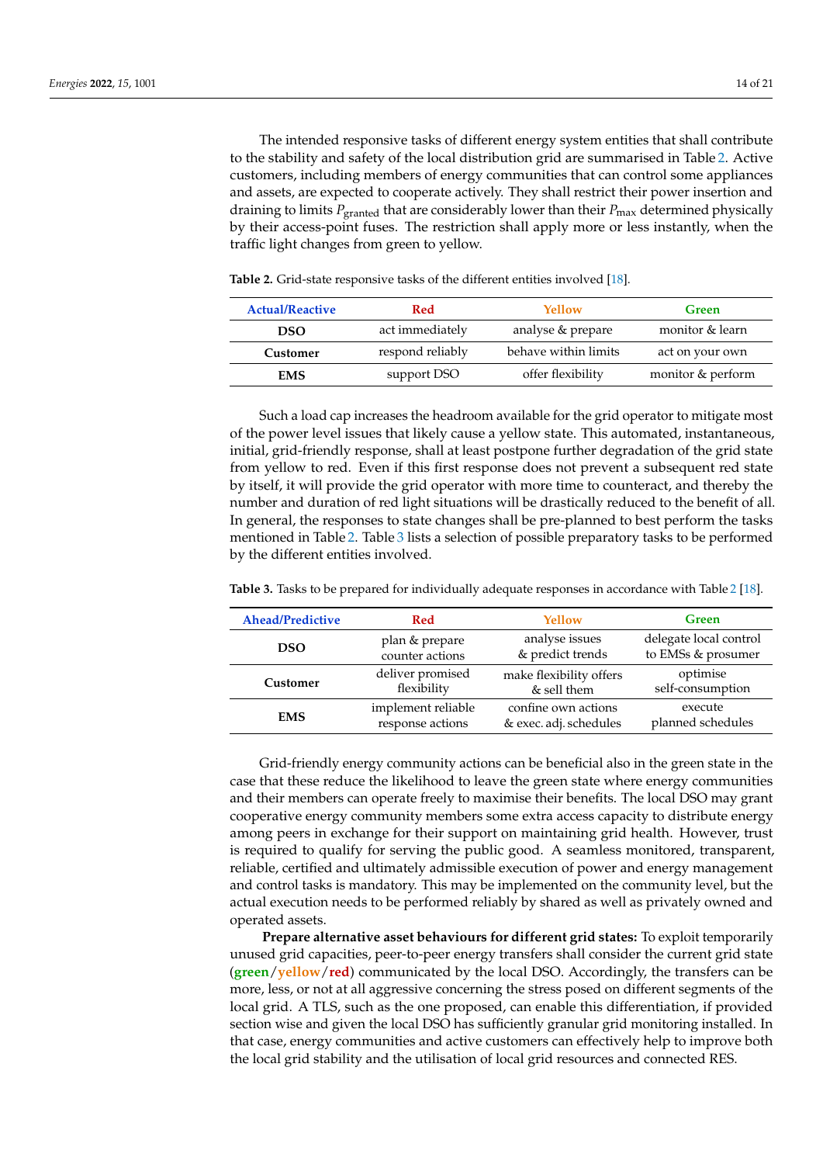The intended responsive tasks of different energy system entities that shall contribute to the stability and safety of the local distribution grid are summarised in Table [2.](#page-13-0) Active customers, including members of energy communities that can control some appliances and assets, are expected to cooperate actively. They shall restrict their power insertion and draining to limits *P*granted that are considerably lower than their *P*max determined physically by their access-point fuses. The restriction shall apply more or less instantly, when the traffic light changes from green to yellow.

| <b>Actual/Reactive</b> | <b>Red</b>       | Yellow               | Green             |  |
|------------------------|------------------|----------------------|-------------------|--|
| <b>DSO</b>             | act immediately  | analyse & prepare    | monitor & learn   |  |
| Customer               | respond reliably | behave within limits | act on your own   |  |
| <b>EMS</b>             | support DSO      | offer flexibility    | monitor & perform |  |

<span id="page-13-0"></span>**Table 2.** Grid-state responsive tasks of the different entities involved [\[18\]](#page-19-16).

Such a load cap increases the headroom available for the grid operator to mitigate most of the power level issues that likely cause a yellow state. This automated, instantaneous, initial, grid-friendly response, shall at least postpone further degradation of the grid state from yellow to red. Even if this first response does not prevent a subsequent red state by itself, it will provide the grid operator with more time to counteract, and thereby the number and duration of red light situations will be drastically reduced to the benefit of all. In general, the responses to state changes shall be pre-planned to best perform the tasks mentioned in Table [2.](#page-13-0) Table [3](#page-13-1) lists a selection of possible preparatory tasks to be performed by the different entities involved.

| <b>Ahead/Predictive</b> | <b>Red</b>                             | Yellow                  | Green                        |  |
|-------------------------|----------------------------------------|-------------------------|------------------------------|--|
| <b>DSO</b>              | plan & prepare                         | analyse issues          | delegate local control       |  |
|                         | counter actions                        | & predict trends        | to EMSs & prosumer           |  |
| Customer                | deliver promised                       | make flexibility offers | optimise                     |  |
|                         | flexibility                            | & sell them             | self-consumption             |  |
| <b>EMS</b>              | implement reliable<br>response actions |                         | execute<br>planned schedules |  |

<span id="page-13-1"></span>**Table 3.** Tasks to be prepared for individually adequate responses in accordance with Table [2](#page-13-0) [\[18\]](#page-19-16).

Grid-friendly energy community actions can be beneficial also in the green state in the case that these reduce the likelihood to leave the green state where energy communities and their members can operate freely to maximise their benefits. The local DSO may grant cooperative energy community members some extra access capacity to distribute energy among peers in exchange for their support on maintaining grid health. However, trust is required to qualify for serving the public good. A seamless monitored, transparent, reliable, certified and ultimately admissible execution of power and energy management and control tasks is mandatory. This may be implemented on the community level, but the actual execution needs to be performed reliably by shared as well as privately owned and operated assets.

**Prepare alternative asset behaviours for different grid states:** To exploit temporarily unused grid capacities, peer-to-peer energy transfers shall consider the current grid state (**green**/**yellow**/**red**) communicated by the local DSO. Accordingly, the transfers can be more, less, or not at all aggressive concerning the stress posed on different segments of the local grid. A TLS, such as the one proposed, can enable this differentiation, if provided section wise and given the local DSO has sufficiently granular grid monitoring installed. In that case, energy communities and active customers can effectively help to improve both the local grid stability and the utilisation of local grid resources and connected RES.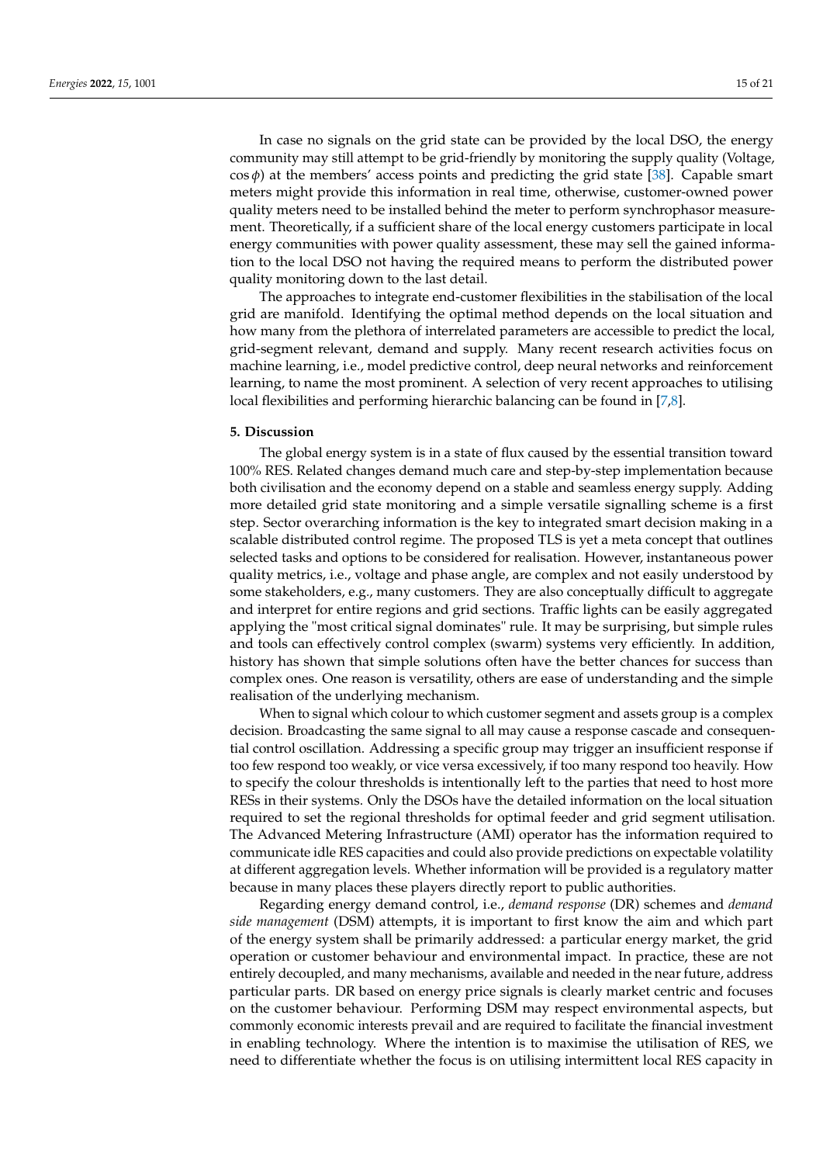In case no signals on the grid state can be provided by the local DSO, the energy community may still attempt to be grid-friendly by monitoring the supply quality (Voltage,  $\cos \phi$ ) at the members' access points and predicting the grid state [\[38\]](#page-20-15). Capable smart meters might provide this information in real time, otherwise, customer-owned power quality meters need to be installed behind the meter to perform synchrophasor measurement. Theoretically, if a sufficient share of the local energy customers participate in local energy communities with power quality assessment, these may sell the gained information to the local DSO not having the required means to perform the distributed power quality monitoring down to the last detail.

The approaches to integrate end-customer flexibilities in the stabilisation of the local grid are manifold. Identifying the optimal method depends on the local situation and how many from the plethora of interrelated parameters are accessible to predict the local, grid-segment relevant, demand and supply. Many recent research activities focus on machine learning, i.e., model predictive control, deep neural networks and reinforcement learning, to name the most prominent. A selection of very recent approaches to utilising local flexibilities and performing hierarchic balancing can be found in [\[7,](#page-19-5)[8\]](#page-19-6).

#### <span id="page-14-0"></span>**5. Discussion**

The global energy system is in a state of flux caused by the essential transition toward 100% RES. Related changes demand much care and step-by-step implementation because both civilisation and the economy depend on a stable and seamless energy supply. Adding more detailed grid state monitoring and a simple versatile signalling scheme is a first step. Sector overarching information is the key to integrated smart decision making in a scalable distributed control regime. The proposed TLS is yet a meta concept that outlines selected tasks and options to be considered for realisation. However, instantaneous power quality metrics, i.e., voltage and phase angle, are complex and not easily understood by some stakeholders, e.g., many customers. They are also conceptually difficult to aggregate and interpret for entire regions and grid sections. Traffic lights can be easily aggregated applying the "most critical signal dominates" rule. It may be surprising, but simple rules and tools can effectively control complex (swarm) systems very efficiently. In addition, history has shown that simple solutions often have the better chances for success than complex ones. One reason is versatility, others are ease of understanding and the simple realisation of the underlying mechanism.

When to signal which colour to which customer segment and assets group is a complex decision. Broadcasting the same signal to all may cause a response cascade and consequential control oscillation. Addressing a specific group may trigger an insufficient response if too few respond too weakly, or vice versa excessively, if too many respond too heavily. How to specify the colour thresholds is intentionally left to the parties that need to host more RESs in their systems. Only the DSOs have the detailed information on the local situation required to set the regional thresholds for optimal feeder and grid segment utilisation. The Advanced Metering Infrastructure (AMI) operator has the information required to communicate idle RES capacities and could also provide predictions on expectable volatility at different aggregation levels. Whether information will be provided is a regulatory matter because in many places these players directly report to public authorities.

Regarding energy demand control, i.e., *demand response* (DR) schemes and *demand side management* (DSM) attempts, it is important to first know the aim and which part of the energy system shall be primarily addressed: a particular energy market, the grid operation or customer behaviour and environmental impact. In practice, these are not entirely decoupled, and many mechanisms, available and needed in the near future, address particular parts. DR based on energy price signals is clearly market centric and focuses on the customer behaviour. Performing DSM may respect environmental aspects, but commonly economic interests prevail and are required to facilitate the financial investment in enabling technology. Where the intention is to maximise the utilisation of RES, we need to differentiate whether the focus is on utilising intermittent local RES capacity in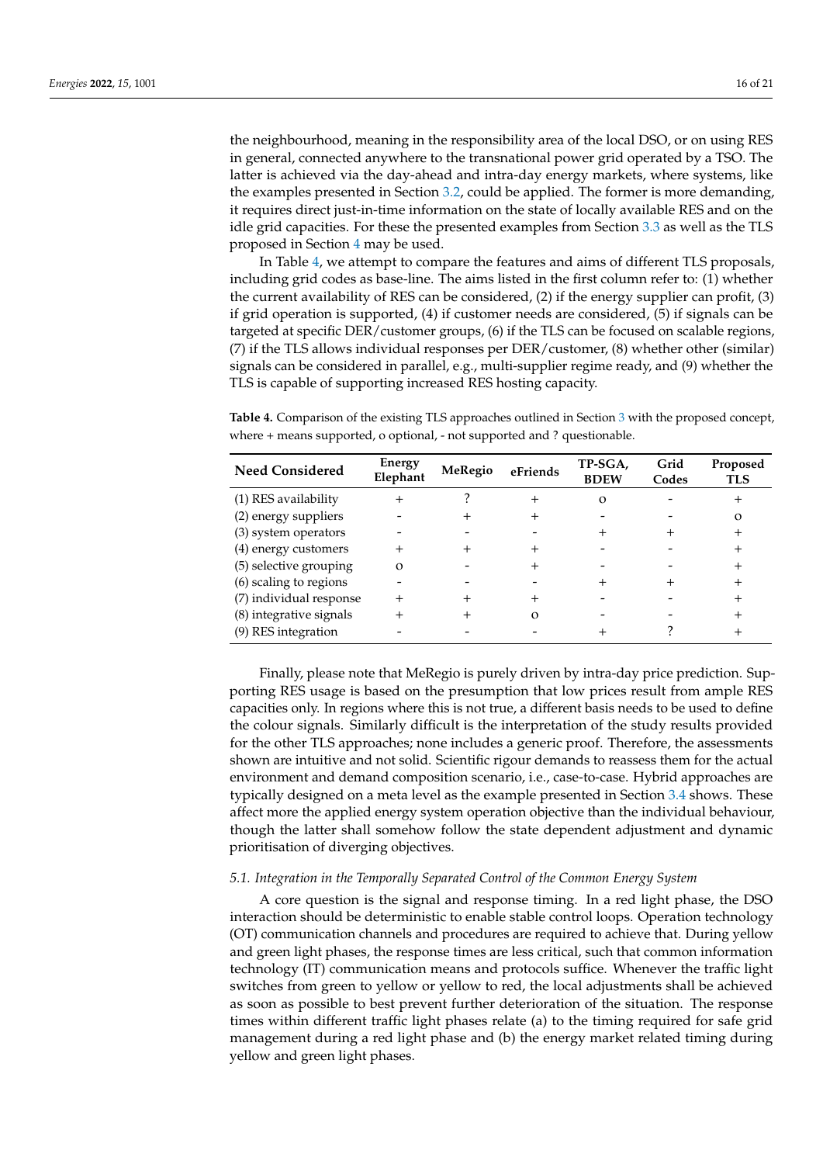the neighbourhood, meaning in the responsibility area of the local DSO, or on using RES in general, connected anywhere to the transnational power grid operated by a TSO. The latter is achieved via the day-ahead and intra-day energy markets, where systems, like the examples presented in Section [3.2,](#page-7-0) could be applied. The former is more demanding, it requires direct just-in-time information on the state of locally available RES and on the idle grid capacities. For these the presented examples from Section [3.3](#page-8-0) as well as the TLS proposed in Section [4](#page-10-0) may be used.

In Table [4,](#page-15-0) we attempt to compare the features and aims of different TLS proposals, including grid codes as base-line. The aims listed in the first column refer to: (1) whether the current availability of RES can be considered, (2) if the energy supplier can profit, (3) if grid operation is supported, (4) if customer needs are considered, (5) if signals can be targeted at specific DER/customer groups, (6) if the TLS can be focused on scalable regions, (7) if the TLS allows individual responses per DER/customer, (8) whether other (similar) signals can be considered in parallel, e.g., multi-supplier regime ready, and (9) whether the TLS is capable of supporting increased RES hosting capacity.

<span id="page-15-0"></span>**Table 4.** Comparison of the existing TLS approaches outlined in Section [3](#page-6-0) with the proposed concept, where + means supported, o optional, - not supported and ? questionable.

| <b>Need Considered</b>  | Energy<br>Elephant | MeRegio | eFriends | TP-SGA,<br><b>BDEW</b> | Grid<br>Codes | Proposed<br><b>TLS</b> |
|-------------------------|--------------------|---------|----------|------------------------|---------------|------------------------|
| (1) RES availability    |                    |         |          | $\Omega$               |               |                        |
| (2) energy suppliers    |                    |         |          |                        |               | О                      |
| (3) system operators    |                    |         |          |                        |               |                        |
| (4) energy customers    |                    |         |          |                        |               |                        |
| (5) selective grouping  | Ω                  |         |          |                        |               |                        |
| (6) scaling to regions  |                    |         |          |                        |               |                        |
| (7) individual response |                    |         |          |                        |               |                        |
| (8) integrative signals |                    |         |          |                        |               |                        |
| (9) RES integration     |                    |         |          |                        |               |                        |

Finally, please note that MeRegio is purely driven by intra-day price prediction. Supporting RES usage is based on the presumption that low prices result from ample RES capacities only. In regions where this is not true, a different basis needs to be used to define the colour signals. Similarly difficult is the interpretation of the study results provided for the other TLS approaches; none includes a generic proof. Therefore, the assessments shown are intuitive and not solid. Scientific rigour demands to reassess them for the actual environment and demand composition scenario, i.e., case-to-case. Hybrid approaches are typically designed on a meta level as the example presented in Section [3.4](#page-10-1) shows. These affect more the applied energy system operation objective than the individual behaviour, though the latter shall somehow follow the state dependent adjustment and dynamic prioritisation of diverging objectives.

#### *5.1. Integration in the Temporally Separated Control of the Common Energy System*

A core question is the signal and response timing. In a red light phase, the DSO interaction should be deterministic to enable stable control loops. Operation technology (OT) communication channels and procedures are required to achieve that. During yellow and green light phases, the response times are less critical, such that common information technology (IT) communication means and protocols suffice. Whenever the traffic light switches from green to yellow or yellow to red, the local adjustments shall be achieved as soon as possible to best prevent further deterioration of the situation. The response times within different traffic light phases relate (a) to the timing required for safe grid management during a red light phase and (b) the energy market related timing during yellow and green light phases.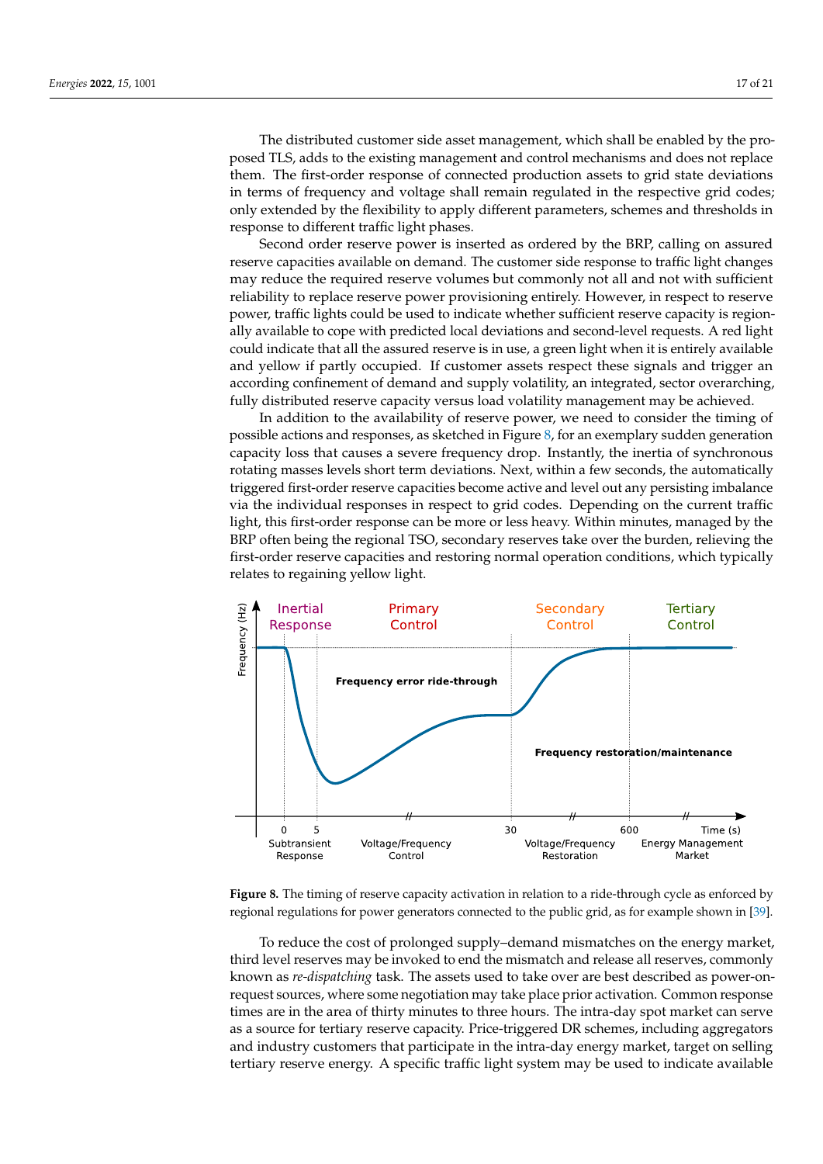The distributed customer side asset management, which shall be enabled by the proposed TLS, adds to the existing management and control mechanisms and does not replace them. The first-order response of connected production assets to grid state deviations in terms of frequency and voltage shall remain regulated in the respective grid codes; only extended by the flexibility to apply different parameters, schemes and thresholds in response to different traffic light phases.

Second order reserve power is inserted as ordered by the BRP, calling on assured reserve capacities available on demand. The customer side response to traffic light changes may reduce the required reserve volumes but commonly not all and not with sufficient reliability to replace reserve power provisioning entirely. However, in respect to reserve power, traffic lights could be used to indicate whether sufficient reserve capacity is regionally available to cope with predicted local deviations and second-level requests. A red light could indicate that all the assured reserve is in use, a green light when it is entirely available and yellow if partly occupied. If customer assets respect these signals and trigger an according confinement of demand and supply volatility, an integrated, sector overarching, fully distributed reserve capacity versus load volatility management may be achieved.

In addition to the availability of reserve power, we need to consider the timing of possible actions and responses, as sketched in Figure [8,](#page-16-0) for an exemplary sudden generation capacity loss that causes a severe frequency drop. Instantly, the inertia of synchronous rotating masses levels short term deviations. Next, within a few seconds, the automatically triggered first-order reserve capacities become active and level out any persisting imbalance via the individual responses in respect to grid codes. Depending on the current traffic light, this first-order response can be more or less heavy. Within minutes, managed by the BRP often being the regional TSO, secondary reserves take over the burden, relieving the first-order reserve capacities and restoring normal operation conditions, which typically relates to regaining yellow light.

<span id="page-16-0"></span>

**Figure 8.** The timing of reserve capacity activation in relation to a ride-through cycle as enforced by regional regulations for power generators connected to the public grid, as for example shown in [\[39\]](#page-20-16).

To reduce the cost of prolonged supply–demand mismatches on the energy market, third level reserves may be invoked to end the mismatch and release all reserves, commonly known as *re-dispatching* task. The assets used to take over are best described as power-onrequest sources, where some negotiation may take place prior activation. Common response times are in the area of thirty minutes to three hours. The intra-day spot market can serve as a source for tertiary reserve capacity. Price-triggered DR schemes, including aggregators and industry customers that participate in the intra-day energy market, target on selling tertiary reserve energy. A specific traffic light system may be used to indicate available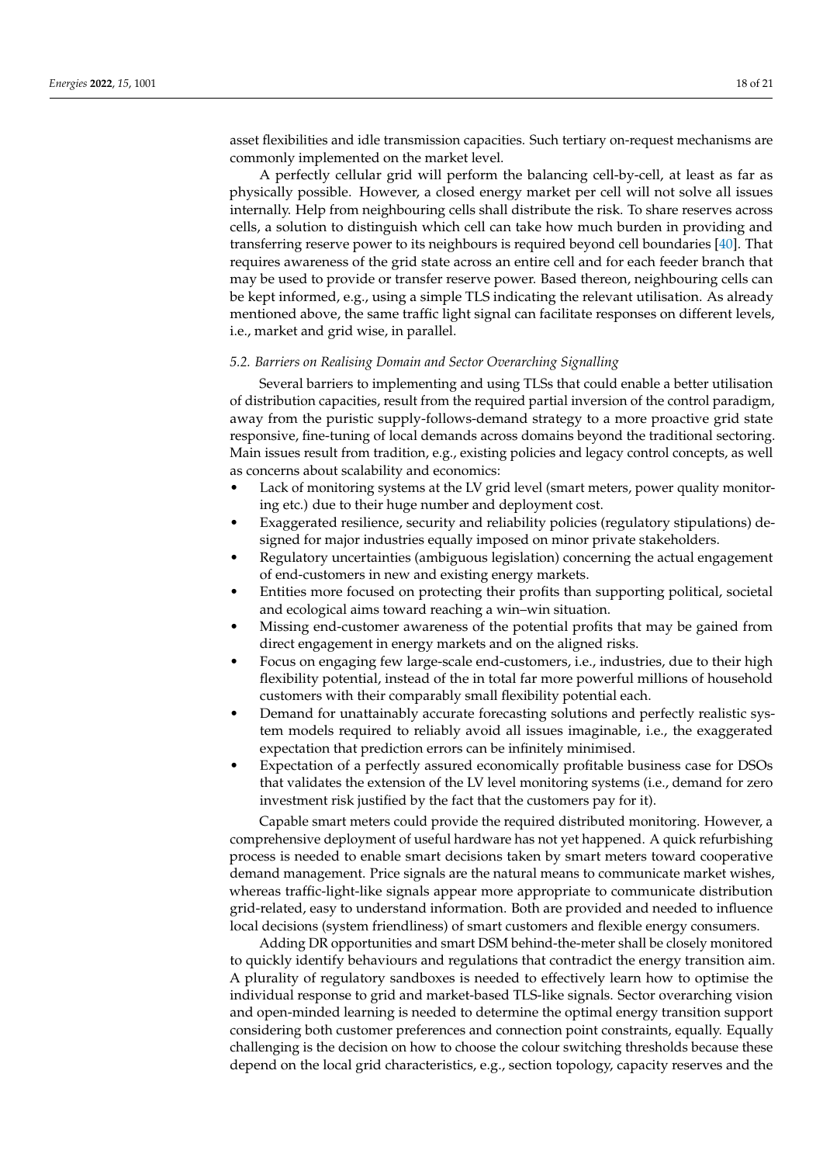asset flexibilities and idle transmission capacities. Such tertiary on-request mechanisms are commonly implemented on the market level.

A perfectly cellular grid will perform the balancing cell-by-cell, at least as far as physically possible. However, a closed energy market per cell will not solve all issues internally. Help from neighbouring cells shall distribute the risk. To share reserves across cells, a solution to distinguish which cell can take how much burden in providing and transferring reserve power to its neighbours is required beyond cell boundaries [\[40\]](#page-20-17). That requires awareness of the grid state across an entire cell and for each feeder branch that may be used to provide or transfer reserve power. Based thereon, neighbouring cells can be kept informed, e.g., using a simple TLS indicating the relevant utilisation. As already mentioned above, the same traffic light signal can facilitate responses on different levels, i.e., market and grid wise, in parallel.

#### *5.2. Barriers on Realising Domain and Sector Overarching Signalling*

Several barriers to implementing and using TLSs that could enable a better utilisation of distribution capacities, result from the required partial inversion of the control paradigm, away from the puristic supply-follows-demand strategy to a more proactive grid state responsive, fine-tuning of local demands across domains beyond the traditional sectoring. Main issues result from tradition, e.g., existing policies and legacy control concepts, as well as concerns about scalability and economics:

- Lack of monitoring systems at the LV grid level (smart meters, power quality monitoring etc.) due to their huge number and deployment cost.
- Exaggerated resilience, security and reliability policies (regulatory stipulations) designed for major industries equally imposed on minor private stakeholders.
- Regulatory uncertainties (ambiguous legislation) concerning the actual engagement of end-customers in new and existing energy markets.
- Entities more focused on protecting their profits than supporting political, societal and ecological aims toward reaching a win–win situation.
- Missing end-customer awareness of the potential profits that may be gained from direct engagement in energy markets and on the aligned risks.
- Focus on engaging few large-scale end-customers, i.e., industries, due to their high flexibility potential, instead of the in total far more powerful millions of household customers with their comparably small flexibility potential each.
- Demand for unattainably accurate forecasting solutions and perfectly realistic system models required to reliably avoid all issues imaginable, i.e., the exaggerated expectation that prediction errors can be infinitely minimised.
- Expectation of a perfectly assured economically profitable business case for DSOs that validates the extension of the LV level monitoring systems (i.e., demand for zero investment risk justified by the fact that the customers pay for it).

Capable smart meters could provide the required distributed monitoring. However, a comprehensive deployment of useful hardware has not yet happened. A quick refurbishing process is needed to enable smart decisions taken by smart meters toward cooperative demand management. Price signals are the natural means to communicate market wishes, whereas traffic-light-like signals appear more appropriate to communicate distribution grid-related, easy to understand information. Both are provided and needed to influence local decisions (system friendliness) of smart customers and flexible energy consumers.

Adding DR opportunities and smart DSM behind-the-meter shall be closely monitored to quickly identify behaviours and regulations that contradict the energy transition aim. A plurality of regulatory sandboxes is needed to effectively learn how to optimise the individual response to grid and market-based TLS-like signals. Sector overarching vision and open-minded learning is needed to determine the optimal energy transition support considering both customer preferences and connection point constraints, equally. Equally challenging is the decision on how to choose the colour switching thresholds because these depend on the local grid characteristics, e.g., section topology, capacity reserves and the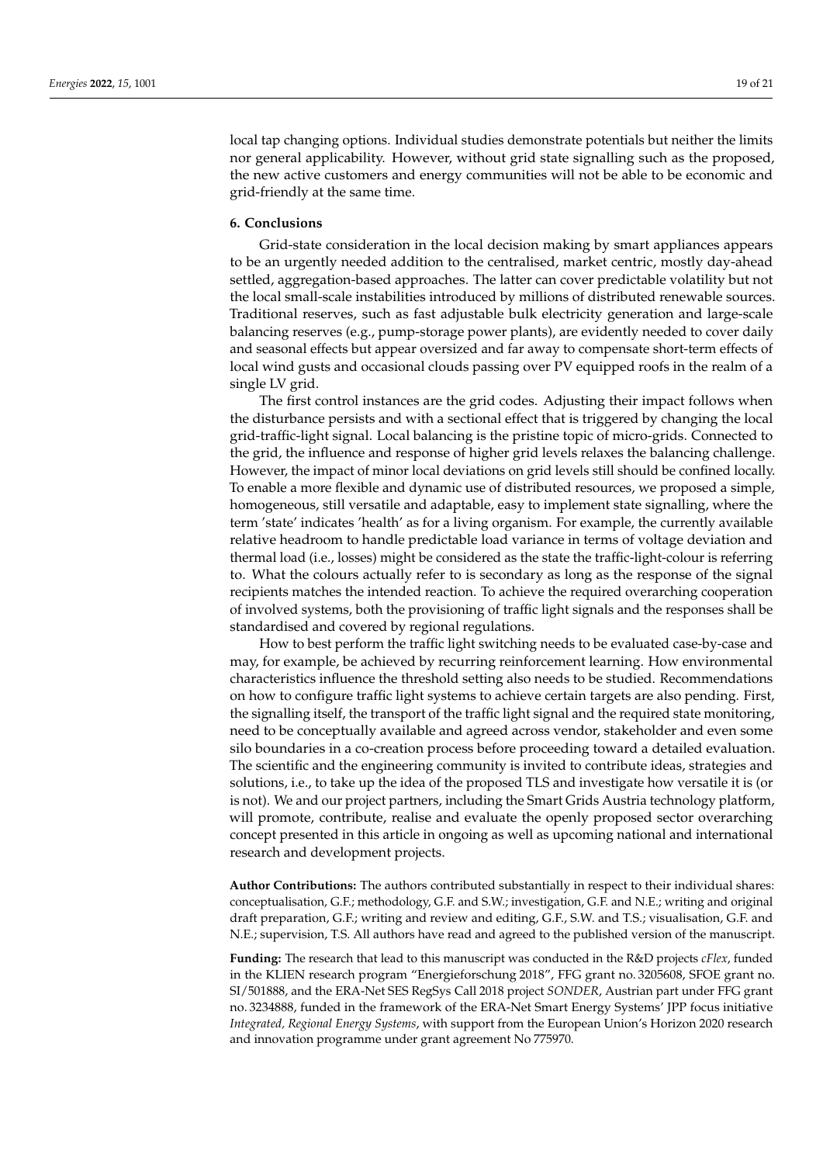local tap changing options. Individual studies demonstrate potentials but neither the limits nor general applicability. However, without grid state signalling such as the proposed, the new active customers and energy communities will not be able to be economic and grid-friendly at the same time.

#### <span id="page-18-0"></span>**6. Conclusions**

Grid-state consideration in the local decision making by smart appliances appears to be an urgently needed addition to the centralised, market centric, mostly day-ahead settled, aggregation-based approaches. The latter can cover predictable volatility but not the local small-scale instabilities introduced by millions of distributed renewable sources. Traditional reserves, such as fast adjustable bulk electricity generation and large-scale balancing reserves (e.g., pump-storage power plants), are evidently needed to cover daily and seasonal effects but appear oversized and far away to compensate short-term effects of local wind gusts and occasional clouds passing over PV equipped roofs in the realm of a single LV grid.

The first control instances are the grid codes. Adjusting their impact follows when the disturbance persists and with a sectional effect that is triggered by changing the local grid-traffic-light signal. Local balancing is the pristine topic of micro-grids. Connected to the grid, the influence and response of higher grid levels relaxes the balancing challenge. However, the impact of minor local deviations on grid levels still should be confined locally. To enable a more flexible and dynamic use of distributed resources, we proposed a simple, homogeneous, still versatile and adaptable, easy to implement state signalling, where the term 'state' indicates 'health' as for a living organism. For example, the currently available relative headroom to handle predictable load variance in terms of voltage deviation and thermal load (i.e., losses) might be considered as the state the traffic-light-colour is referring to. What the colours actually refer to is secondary as long as the response of the signal recipients matches the intended reaction. To achieve the required overarching cooperation of involved systems, both the provisioning of traffic light signals and the responses shall be standardised and covered by regional regulations.

How to best perform the traffic light switching needs to be evaluated case-by-case and may, for example, be achieved by recurring reinforcement learning. How environmental characteristics influence the threshold setting also needs to be studied. Recommendations on how to configure traffic light systems to achieve certain targets are also pending. First, the signalling itself, the transport of the traffic light signal and the required state monitoring, need to be conceptually available and agreed across vendor, stakeholder and even some silo boundaries in a co-creation process before proceeding toward a detailed evaluation. The scientific and the engineering community is invited to contribute ideas, strategies and solutions, i.e., to take up the idea of the proposed TLS and investigate how versatile it is (or is not). We and our project partners, including the Smart Grids Austria technology platform, will promote, contribute, realise and evaluate the openly proposed sector overarching concept presented in this article in ongoing as well as upcoming national and international research and development projects.

**Author Contributions:** The authors contributed substantially in respect to their individual shares: conceptualisation, G.F.; methodology, G.F. and S.W.; investigation, G.F. and N.E.; writing and original draft preparation, G.F.; writing and review and editing, G.F., S.W. and T.S.; visualisation, G.F. and N.E.; supervision, T.S. All authors have read and agreed to the published version of the manuscript.

**Funding:** The research that lead to this manuscript was conducted in the R&D projects *cFlex*, funded in the KLIEN research program "Energieforschung 2018", FFG grant no. 3205608, SFOE grant no. SI/501888, and the ERA-Net SES RegSys Call 2018 project *SONDER*, Austrian part under FFG grant no. 3234888, funded in the framework of the ERA-Net Smart Energy Systems' JPP focus initiative *Integrated, Regional Energy Systems*, with support from the European Union's Horizon 2020 research and innovation programme under grant agreement No 775970.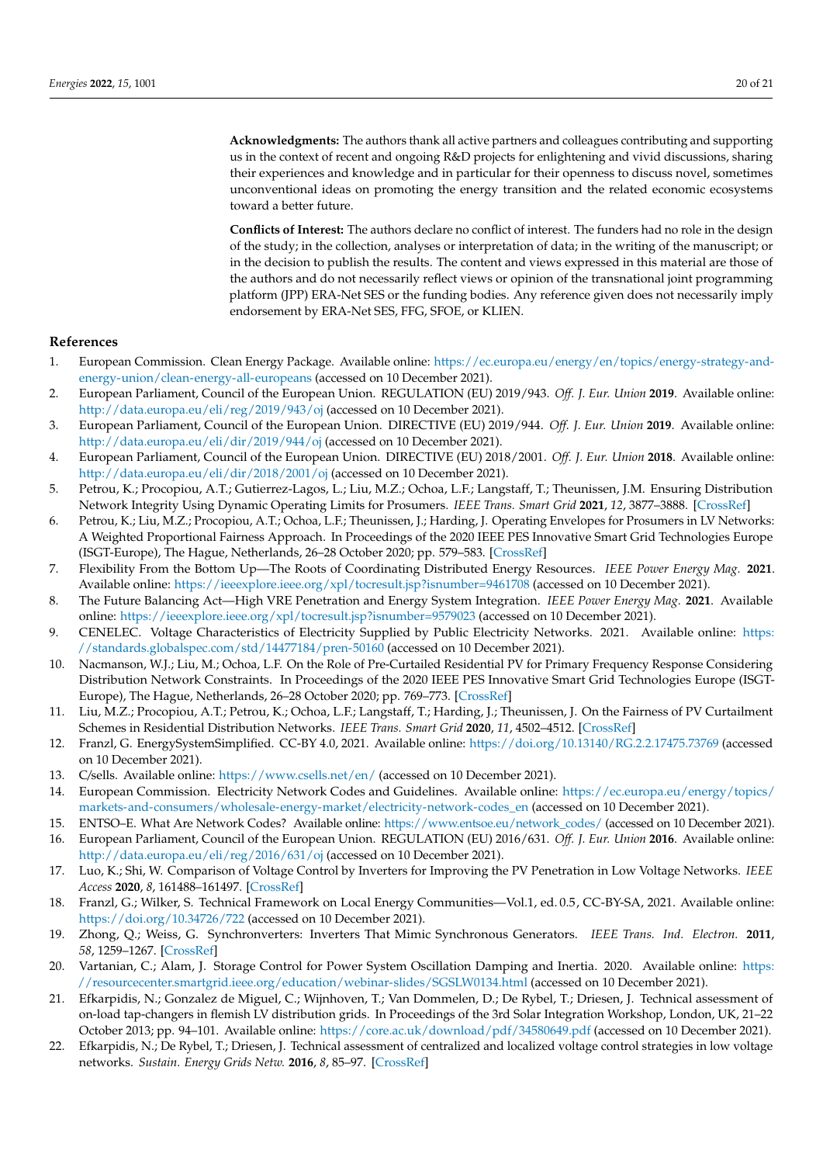**Acknowledgments:** The authors thank all active partners and colleagues contributing and supporting us in the context of recent and ongoing R&D projects for enlightening and vivid discussions, sharing their experiences and knowledge and in particular for their openness to discuss novel, sometimes unconventional ideas on promoting the energy transition and the related economic ecosystems

**Conflicts of Interest:** The authors declare no conflict of interest. The funders had no role in the design of the study; in the collection, analyses or interpretation of data; in the writing of the manuscript; or in the decision to publish the results. The content and views expressed in this material are those of the authors and do not necessarily reflect views or opinion of the transnational joint programming platform (JPP) ERA-Net SES or the funding bodies. Any reference given does not necessarily imply endorsement by ERA-Net SES, FFG, SFOE, or KLIEN.

## **References**

- <span id="page-19-0"></span>1. European Commission. Clean Energy Package. Available online: [https://ec.europa.eu/energy/en/topics/energy-strategy-and](https://ec.europa.eu/energy/en/topics/energy-strategy-and-energy-union/clean-energy-all-europeans)[energy-union/clean-energy-all-europeans](https://ec.europa.eu/energy/en/topics/energy-strategy-and-energy-union/clean-energy-all-europeans) (accessed on 10 December 2021).
- <span id="page-19-1"></span>2. European Parliament, Council of the European Union. REGULATION (EU) 2019/943. *Off. J. Eur. Union* **2019**. Available online: <http://data.europa.eu/eli/reg/2019/943/oj> (accessed on 10 December 2021).
- 3. European Parliament, Council of the European Union. DIRECTIVE (EU) 2019/944. *Off. J. Eur. Union* **2019**. Available online: <http://data.europa.eu/eli/dir/2019/944/oj> (accessed on 10 December 2021).
- <span id="page-19-2"></span>4. European Parliament, Council of the European Union. DIRECTIVE (EU) 2018/2001. *Off. J. Eur. Union* **2018**. Available online: <http://data.europa.eu/eli/dir/2018/2001/oj> (accessed on 10 December 2021).
- <span id="page-19-3"></span>5. Petrou, K.; Procopiou, A.T.; Gutierrez-Lagos, L.; Liu, M.Z.; Ochoa, L.F.; Langstaff, T.; Theunissen, J.M. Ensuring Distribution Network Integrity Using Dynamic Operating Limits for Prosumers. *IEEE Trans. Smart Grid* **2021**, *12*, 3877–3888. [\[CrossRef\]](http://doi.org/10.1109/TSG.2021.3081371)
- <span id="page-19-4"></span>6. Petrou, K.; Liu, M.Z.; Procopiou, A.T.; Ochoa, L.F.; Theunissen, J.; Harding, J. Operating Envelopes for Prosumers in LV Networks: A Weighted Proportional Fairness Approach. In Proceedings of the 2020 IEEE PES Innovative Smart Grid Technologies Europe (ISGT-Europe), The Hague, Netherlands, 26–28 October 2020; pp. 579–583. [\[CrossRef\]](http://dx.doi.org/10.1109/ISGT-Europe47291.2020.9248975)
- <span id="page-19-5"></span>7. Flexibility From the Bottom Up—The Roots of Coordinating Distributed Energy Resources. *IEEE Power Energy Mag.* **2021**. Available online: <https://ieeexplore.ieee.org/xpl/tocresult.jsp?isnumber=9461708> (accessed on 10 December 2021).
- <span id="page-19-6"></span>8. The Future Balancing Act—High VRE Penetration and Energy System Integration. *IEEE Power Energy Mag.* **2021**. Available online: <https://ieeexplore.ieee.org/xpl/tocresult.jsp?isnumber=9579023> (accessed on 10 December 2021).
- <span id="page-19-7"></span>9. CENELEC. Voltage Characteristics of Electricity Supplied by Public Electricity Networks. 2021. Available online: [https:](https://standards.globalspec.com/std/14477184/pren-50160) [//standards.globalspec.com/std/14477184/pren-50160](https://standards.globalspec.com/std/14477184/pren-50160) (accessed on 10 December 2021).
- <span id="page-19-8"></span>10. Nacmanson, W.J.; Liu, M.; Ochoa, L.F. On the Role of Pre-Curtailed Residential PV for Primary Frequency Response Considering Distribution Network Constraints. In Proceedings of the 2020 IEEE PES Innovative Smart Grid Technologies Europe (ISGT-Europe), The Hague, Netherlands, 26–28 October 2020; pp. 769–773. [\[CrossRef\]](http://dx.doi.org/10.1109/ISGT-Europe47291.2020.9248917)
- <span id="page-19-9"></span>11. Liu, M.Z.; Procopiou, A.T.; Petrou, K.; Ochoa, L.F.; Langstaff, T.; Harding, J.; Theunissen, J. On the Fairness of PV Curtailment Schemes in Residential Distribution Networks. *IEEE Trans. Smart Grid* **2020**, *11*, 4502–4512. [\[CrossRef\]](http://dx.doi.org/10.1109/TSG.2020.2983771)
- <span id="page-19-10"></span>12. Franzl, G. EnergySystemSimplified. CC-BY 4.0, 2021. Available online: <https://doi.org/10.13140/RG.2.2.17475.73769> (accessed on 10 December 2021).
- <span id="page-19-11"></span>13. C/sells. Available online: <https://www.csells.net/en/> (accessed on 10 December 2021).

toward a better future.

- <span id="page-19-12"></span>14. European Commission. Electricity Network Codes and Guidelines. Available online: [https://ec.europa.eu/energy/topics/](https://ec.europa.eu/energy/topics/markets-and-consumers/wholesale-energy-market/electricity-network-codes_en) [markets-and-consumers/wholesale-energy-market/electricity-network-codes\\_en](https://ec.europa.eu/energy/topics/markets-and-consumers/wholesale-energy-market/electricity-network-codes_en) (accessed on 10 December 2021).
- <span id="page-19-13"></span>15. ENTSO–E. What Are Network Codes? Available online: [https://www.entsoe.eu/network\\_codes/](https://www.entsoe.eu/network_codes/) (accessed on 10 December 2021).
- <span id="page-19-14"></span>16. European Parliament, Council of the European Union. REGULATION (EU) 2016/631. *Off. J. Eur. Union* **2016**. Available online: <http://data.europa.eu/eli/reg/2016/631/oj> (accessed on 10 December 2021).
- <span id="page-19-15"></span>17. Luo, K.; Shi, W. Comparison of Voltage Control by Inverters for Improving the PV Penetration in Low Voltage Networks. *IEEE Access* **2020**, *8*, 161488–161497. [\[CrossRef\]](http://dx.doi.org/10.1109/ACCESS.2020.3021079)
- <span id="page-19-16"></span>18. Franzl, G.; Wilker, S. Technical Framework on Local Energy Communities—Vol.1, ed. 0.5, CC-BY-SA, 2021. Available online: <https://doi.org/10.34726/722> (accessed on 10 December 2021).
- <span id="page-19-17"></span>19. Zhong, Q.; Weiss, G. Synchronverters: Inverters That Mimic Synchronous Generators. *IEEE Trans. Ind. Electron.* **2011**, *58*, 1259–1267. [\[CrossRef\]](http://dx.doi.org/10.1109/TIE.2010.2048839)
- <span id="page-19-18"></span>20. Vartanian, C.; Alam, J. Storage Control for Power System Oscillation Damping and Inertia. 2020. Available online: [https:](https://resourcecenter.smartgrid.ieee.org/education/webinar-slides/SGSLW0134.html) [//resourcecenter.smartgrid.ieee.org/education/webinar-slides/SGSLW0134.html](https://resourcecenter.smartgrid.ieee.org/education/webinar-slides/SGSLW0134.html) (accessed on 10 December 2021).
- <span id="page-19-19"></span>21. Efkarpidis, N.; Gonzalez de Miguel, C.; Wijnhoven, T.; Van Dommelen, D.; De Rybel, T.; Driesen, J. Technical assessment of on-load tap-changers in flemish LV distribution grids. In Proceedings of the 3rd Solar Integration Workshop, London, UK, 21–22 October 2013; pp. 94–101. Available online: <https://core.ac.uk/download/pdf/34580649.pdf> (accessed on 10 December 2021).
- <span id="page-19-20"></span>22. Efkarpidis, N.; De Rybel, T.; Driesen, J. Technical assessment of centralized and localized voltage control strategies in low voltage networks. *Sustain. Energy Grids Netw.* **2016**, *8*, 85–97. [\[CrossRef\]](http://dx.doi.org/10.1016/j.segan.2016.09.003)